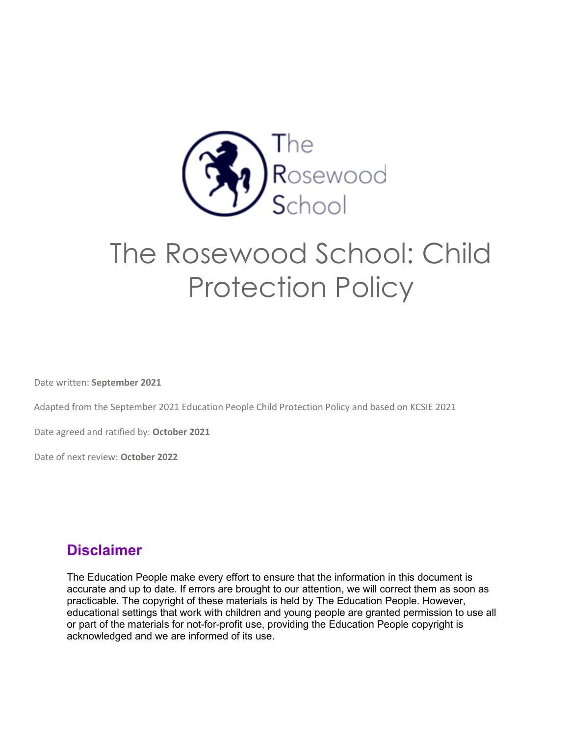

# The Rosewood School: Child Protection Policy

Date written: **September 2021**

Adapted from the September 2021 Education People Child Protection Policy and based on KCSIE 2021

Date agreed and ratified by: **October 2021**

Date of next review: **October 2022**

## **Disclaimer**

The Education People make every effort to ensure that the information in this document is accurate and up to date. If errors are brought to our attention, we will correct them as soon as practicable. The copyright of these materials is held by The Education People. However, educational settings that work with children and young people are granted permission to use all or part of the materials for not-for-profit use, providing the Education People copyright is acknowledged and we are informed of its use.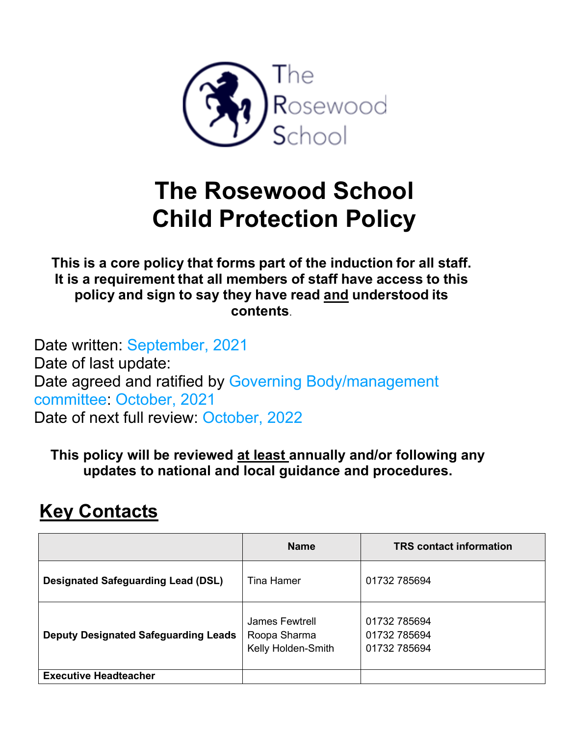

# **The Rosewood School Child Protection Policy**

**This is a core policy that forms part of the induction for all staff. It is a requirement that all members of staff have access to this policy and sign to say they have read and understood its contents**.

Date written: September, 2021 Date of last update: Date agreed and ratified by Governing Body/management committee: October, 2021 Date of next full review: October, 2022

**This policy will be reviewed at least annually and/or following any updates to national and local guidance and procedures.** 

## **Key Contacts**

|                                             | <b>Name</b>                                          | <b>TRS</b> contact information               |
|---------------------------------------------|------------------------------------------------------|----------------------------------------------|
| <b>Designated Safeguarding Lead (DSL)</b>   | Tina Hamer                                           | 01732 785694                                 |
| <b>Deputy Designated Safeguarding Leads</b> | James Fewtrell<br>Roopa Sharma<br>Kelly Holden-Smith | 01732 785694<br>01732 785694<br>01732 785694 |
| <b>Executive Headteacher</b>                |                                                      |                                              |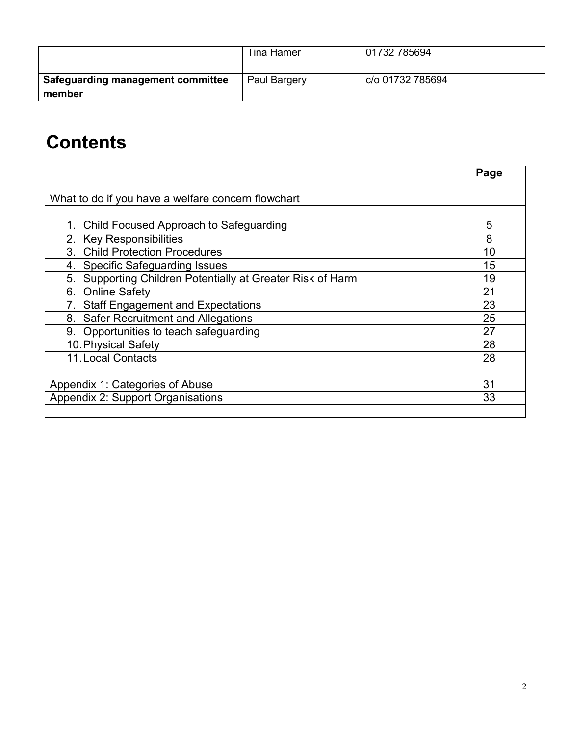|                                             | Tina Hamer   | 01732 785694     |
|---------------------------------------------|--------------|------------------|
| Safeguarding management committee<br>member | Paul Bargery | c/o 01732 785694 |

## **Contents**

|                                                               | Page |
|---------------------------------------------------------------|------|
| What to do if you have a welfare concern flowchart            |      |
|                                                               |      |
| 1. Child Focused Approach to Safeguarding                     | 5    |
| 2. Key Responsibilities                                       | 8    |
| 3. Child Protection Procedures                                | 10   |
| <b>Specific Safeguarding Issues</b><br>4.                     | 15   |
| Supporting Children Potentially at Greater Risk of Harm<br>5. | 19   |
| <b>Online Safety</b><br>6.                                    | 21   |
| <b>Staff Engagement and Expectations</b>                      | 23   |
| <b>Safer Recruitment and Allegations</b><br>8.                | 25   |
| 9. Opportunities to teach safeguarding                        | 27   |
| 10. Physical Safety                                           | 28   |
| 11. Local Contacts                                            | 28   |
|                                                               |      |
| Appendix 1: Categories of Abuse                               | 31   |
| <b>Appendix 2: Support Organisations</b>                      | 33   |
|                                                               |      |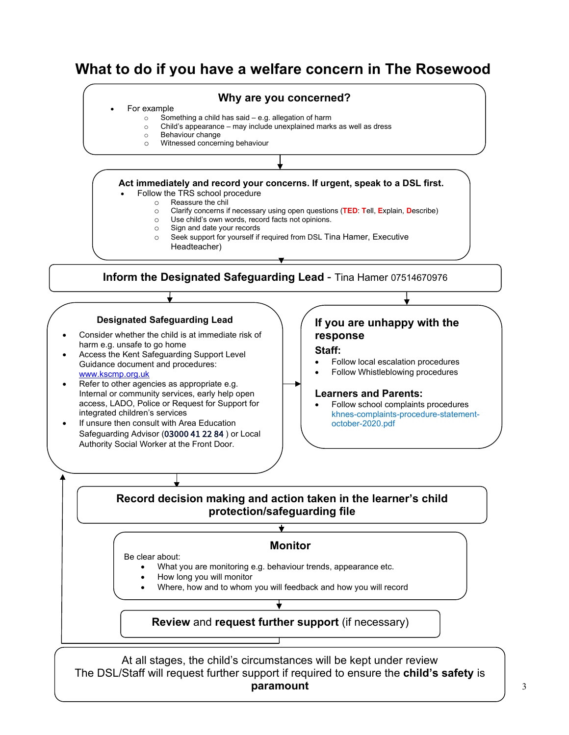## **What to do if you have a welfare concern in The Rosewood**

#### **Why are you concerned?**

#### • For example

- $\circ$  Something a child has said e.g. allegation of harm  $\circ$  Child's appearance may include unexplained mark
- $\circ$  Child's appearance may include unexplained marks as well as dress  $\circ$  Behaviour change
- Behaviour change
- o Witnessed concerning behaviour

#### **Act immediately and record your concerns. If urgent, speak to a DSL first.**

- Follow the TRS school procedure
	- o Reassure the chil<br>○ Clarify concerns if
	- o Clarify concerns if necessary using open questions (**TED**: **T**ell, **E**xplain, **D**escribe)
	- o Use child's own words, record facts not opinions.
	- Sign and date your records
	- Seek support for yourself if required from DSL Tina Hamer, Executive
		- Headteacher)

**Inform the Designated Safeguarding Lead** - Tina Hamer 07514670976

#### **Designated Safeguarding Lead**

- Consider whether the child is at immediate risk of harm e.g. unsafe to go home
- Access the Kent Safeguarding Support Level Guidance document and procedures: [www.kscmp.org.uk](http://www.kscmp.org.uk/)
- Refer to other agencies as appropriate e.g. Internal or community services, early help open access, LADO, Police or Request for Support for integrated children's services
- If unsure then consult with Area Education Safeguarding Advisor (03000 41 22 84 ) or Local Authority Social Worker at the Front Door.

## **If you are unhappy with the response**

#### **Staff:**

- Follow local escalation procedures
- Follow Whistleblowing procedures

#### **Learners and Parents:**

• Follow school complaints procedures khnes-complaints-procedure-statementoctober-2020.pdf

#### **Record decision making and action taken in the learner's child protection/safeguarding file**

 $\overline{\textbf{t}}$ 

#### **Monitor**

Be clear about:

- What you are monitoring e.g. behaviour trends, appearance etc.
- How long you will monitor
- Where, how and to whom you will feedback and how you will record

#### **Review** and **request further support** (if necessary)

At all stages, the child's circumstances will be kept under review The DSL/Staff will request further support if required to ensure the **child's safety** is **paramount**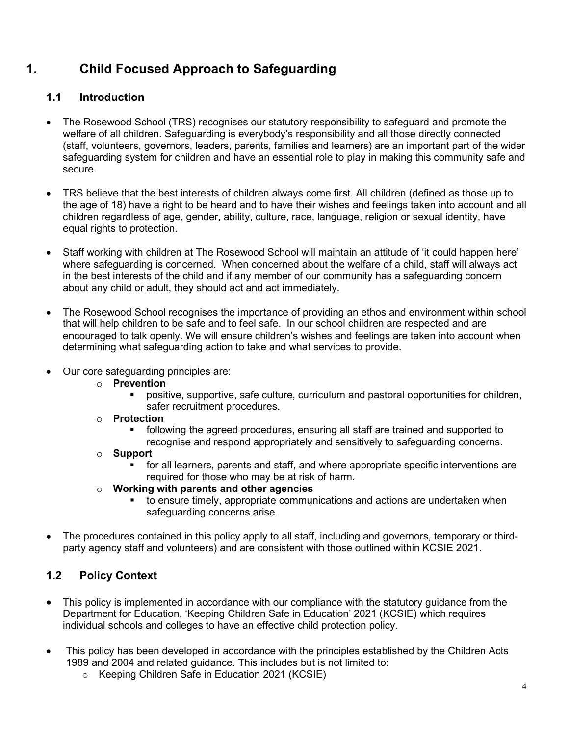## **1. Child Focused Approach to Safeguarding**

## **1.1 Introduction**

- The Rosewood School (TRS) recognises our statutory responsibility to safeguard and promote the welfare of all children. Safeguarding is everybody's responsibility and all those directly connected (staff, volunteers, governors, leaders, parents, families and learners) are an important part of the wider safeguarding system for children and have an essential role to play in making this community safe and secure.
- TRS believe that the best interests of children always come first. All children (defined as those up to the age of 18) have a right to be heard and to have their wishes and feelings taken into account and all children regardless of age, gender, ability, culture, race, language, religion or sexual identity, have equal rights to protection.
- Staff working with children at The Rosewood School will maintain an attitude of 'it could happen here' where safeguarding is concerned. When concerned about the welfare of a child, staff will always act in the best interests of the child and if any member of our community has a safeguarding concern about any child or adult, they should act and act immediately.
- The Rosewood School recognises the importance of providing an ethos and environment within school that will help children to be safe and to feel safe. In our school children are respected and are encouraged to talk openly. We will ensure children's wishes and feelings are taken into account when determining what safeguarding action to take and what services to provide.
- Our core safeguarding principles are:
	- o **Prevention**
		- positive, supportive, safe culture, curriculum and pastoral opportunities for children, safer recruitment procedures.
	- o **Protection**
		- following the agreed procedures, ensuring all staff are trained and supported to recognise and respond appropriately and sensitively to safeguarding concerns.
	- o **Support**
		- for all learners, parents and staff, and where appropriate specific interventions are required for those who may be at risk of harm.
	- o **Working with parents and other agencies**
		- $\bullet$  to ensure timely, appropriate communications and actions are undertaken when safeguarding concerns arise.
- The procedures contained in this policy apply to all staff, including and governors, temporary or thirdparty agency staff and volunteers) and are consistent with those outlined within KCSIE 2021.

## **1.2 Policy Context**

- This policy is implemented in accordance with our compliance with the statutory quidance from the Department for Education, 'Keeping Children Safe in Education' 2021 (KCSIE) which requires individual schools and colleges to have an effective child protection policy.
- This policy has been developed in accordance with the principles established by the Children Acts 1989 and 2004 and related guidance. This includes but is not limited to:
	- o Keeping Children Safe in Education 2021 (KCSIE)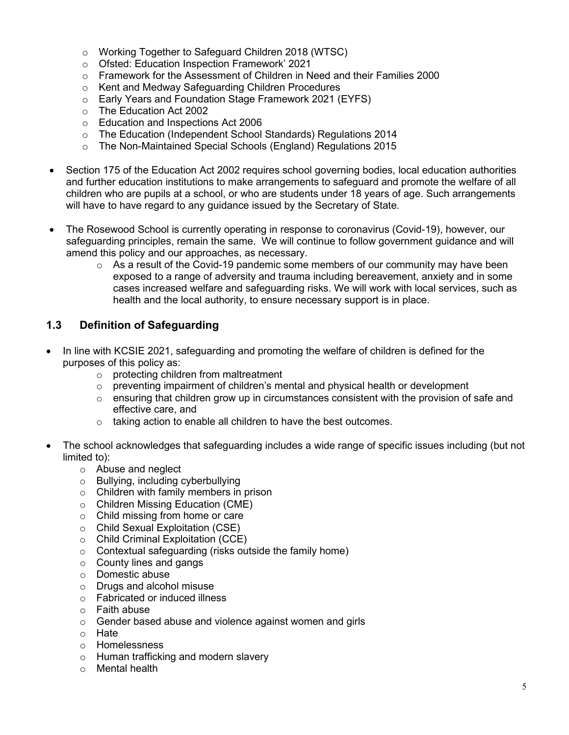- o Working Together to Safeguard Children 2018 (WTSC)
- o Ofsted: Education Inspection Framework' 2021
- o Framework for the Assessment of Children in Need and their Families 2000
- o Kent and Medway Safeguarding Children Procedures
- Early Years and Foundation Stage Framework 2021 (EYFS)<br>○ The Education Act 2002
- The Education Act 2002
- o Education and Inspections Act 2006
- o The Education (Independent School Standards) Regulations 2014
- o The Non-Maintained Special Schools (England) Regulations 2015
- Section 175 of the Education Act 2002 requires school governing bodies, local education authorities and further education institutions to make arrangements to safeguard and promote the welfare of all children who are pupils at a school, or who are students under 18 years of age. Such arrangements will have to have regard to any guidance issued by the Secretary of State.
- The Rosewood School is currently operating in response to coronavirus (Covid-19), however, our safeguarding principles, remain the same. We will continue to follow government guidance and will amend this policy and our approaches, as necessary.
	- $\circ$  As a result of the Covid-19 pandemic some members of our community may have been exposed to a range of adversity and trauma including bereavement, anxiety and in some cases increased welfare and safeguarding risks. We will work with local services, such as health and the local authority, to ensure necessary support is in place.

## **1.3 Definition of Safeguarding**

- In line with KCSIE 2021, safeguarding and promoting the welfare of children is defined for the purposes of this policy as:
	- o protecting children from maltreatment
	- $\circ$  preventing impairment of children's mental and physical health or development
	- $\circ$  ensuring that children grow up in circumstances consistent with the provision of safe and effective care, and
	- $\circ$  taking action to enable all children to have the best outcomes.
- The school acknowledges that safeguarding includes a wide range of specific issues including (but not limited to):
	- o Abuse and neglect
	- o Bullying, including cyberbullying
	- o Children with family members in prison
	- o Children Missing Education (CME)
	- o Child missing from home or care
	- o Child Sexual Exploitation (CSE)
	- o Child Criminal Exploitation (CCE)
	- o Contextual safeguarding (risks outside the family home)
	- $\circ$  County lines and gangs
	- o Domestic abuse
	- o Drugs and alcohol misuse
	- o Fabricated or induced illness
	- o Faith abuse
	- o Gender based abuse and violence against women and girls
	- o Hate
	- o Homelessness
	- o Human trafficking and modern slavery
	- o Mental health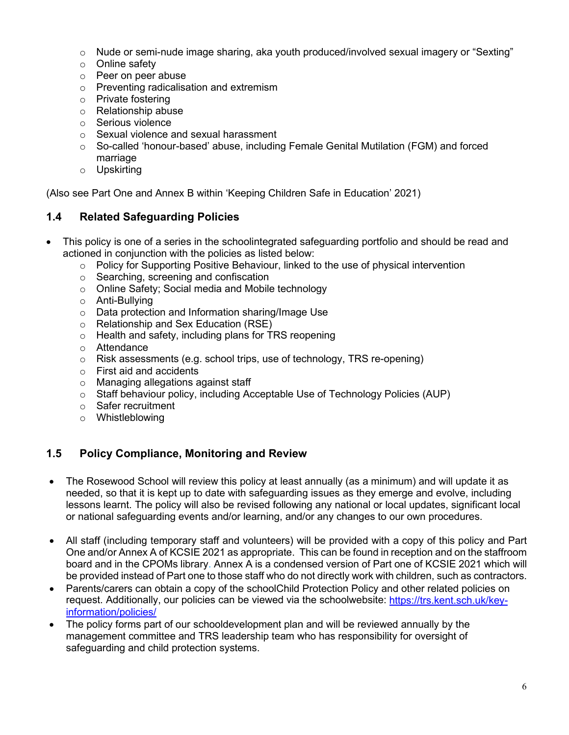- $\circ$  Nude or semi-nude image sharing, aka youth produced/involved sexual imagery or "Sexting"
- o Online safety
- o Peer on peer abuse
- o Preventing radicalisation and extremism
- o Private fostering
- o Relationship abuse
- o Serious violence
- o Sexual violence and sexual harassment
- $\circ$  So-called 'honour-based' abuse, including Female Genital Mutilation (FGM) and forced marriage
- o Upskirting

(Also see Part One and Annex B within 'Keeping Children Safe in Education' 2021)

## **1.4 Related Safeguarding Policies**

- This policy is one of a series in the schoolintegrated safeguarding portfolio and should be read and actioned in conjunction with the policies as listed below:
	- $\circ$  Policy for Supporting Positive Behaviour, linked to the use of physical intervention
	- o Searching, screening and confiscation
	- o Online Safety; Social media and Mobile technology
	- o Anti-Bullying
	- o Data protection and Information sharing/Image Use
	- o Relationship and Sex Education (RSE)
	- o Health and safety, including plans for TRS reopening
	- o Attendance
	- o Risk assessments (e.g. school trips, use of technology, TRS re-opening)
	- o First aid and accidents
	- o Managing allegations against staff
	- o Staff behaviour policy, including Acceptable Use of Technology Policies (AUP)
	- o Safer recruitment
	- o Whistleblowing

## **1.5 Policy Compliance, Monitoring and Review**

- The Rosewood School will review this policy at least annually (as a minimum) and will update it as needed, so that it is kept up to date with safeguarding issues as they emerge and evolve, including lessons learnt. The policy will also be revised following any national or local updates, significant local or national safeguarding events and/or learning, and/or any changes to our own procedures.
- All staff (including temporary staff and volunteers) will be provided with a copy of this policy and Part One and/or Annex A of KCSIE 2021 as appropriate. This can be found in reception and on the staffroom board and in the CPOMs library. Annex A is a condensed version of Part one of KCSIE 2021 which will be provided instead of Part one to those staff who do not directly work with children, such as contractors.
- Parents/carers can obtain a copy of the schoolChild Protection Policy and other related policies on request. Additionally, our policies can be viewed via the schoolwebsite: [https://trs.kent.sch.uk/key](https://trs.kent.sch.uk/key-information/policies/)[information/policies/](https://trs.kent.sch.uk/key-information/policies/)
- The policy forms part of our schooldevelopment plan and will be reviewed annually by the management committee and TRS leadership team who has responsibility for oversight of safeguarding and child protection systems.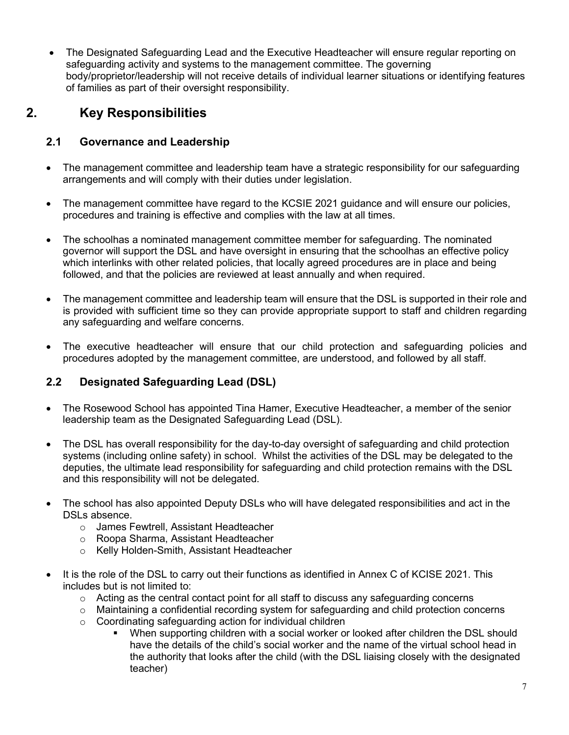• The Designated Safeguarding Lead and the Executive Headteacher will ensure regular reporting on safeguarding activity and systems to the management committee. The governing body/proprietor/leadership will not receive details of individual learner situations or identifying features of families as part of their oversight responsibility.

## **2. Key Responsibilities**

## **2.1 Governance and Leadership**

- The management committee and leadership team have a strategic responsibility for our safeguarding arrangements and will comply with their duties under legislation.
- The management committee have regard to the KCSIE 2021 guidance and will ensure our policies, procedures and training is effective and complies with the law at all times.
- The schoolhas a nominated management committee member for safeguarding. The nominated governor will support the DSL and have oversight in ensuring that the schoolhas an effective policy which interlinks with other related policies, that locally agreed procedures are in place and being followed, and that the policies are reviewed at least annually and when required.
- The management committee and leadership team will ensure that the DSL is supported in their role and is provided with sufficient time so they can provide appropriate support to staff and children regarding any safeguarding and welfare concerns.
- The executive headteacher will ensure that our child protection and safeguarding policies and procedures adopted by the management committee, are understood, and followed by all staff.

## **2.2 Designated Safeguarding Lead (DSL)**

- The Rosewood School has appointed Tina Hamer, Executive Headteacher, a member of the senior leadership team as the Designated Safeguarding Lead (DSL).
- The DSL has overall responsibility for the day-to-day oversight of safeguarding and child protection systems (including online safety) in school. Whilst the activities of the DSL may be delegated to the deputies, the ultimate lead responsibility for safeguarding and child protection remains with the DSL and this responsibility will not be delegated.
- The school has also appointed Deputy DSLs who will have delegated responsibilities and act in the DSLs absence.
	- o James Fewtrell, Assistant Headteacher
	- o Roopa Sharma, Assistant Headteacher
	- o Kelly Holden-Smith, Assistant Headteacher
- It is the role of the DSL to carry out their functions as identified in Annex C of KCISE 2021. This includes but is not limited to:
	- o Acting as the central contact point for all staff to discuss any safeguarding concerns
	- $\circ$  Maintaining a confidential recording system for safeguarding and child protection concerns
	- o Coordinating safeguarding action for individual children
		- When supporting children with a social worker or looked after children the DSL should have the details of the child's social worker and the name of the virtual school head in the authority that looks after the child (with the DSL liaising closely with the designated teacher)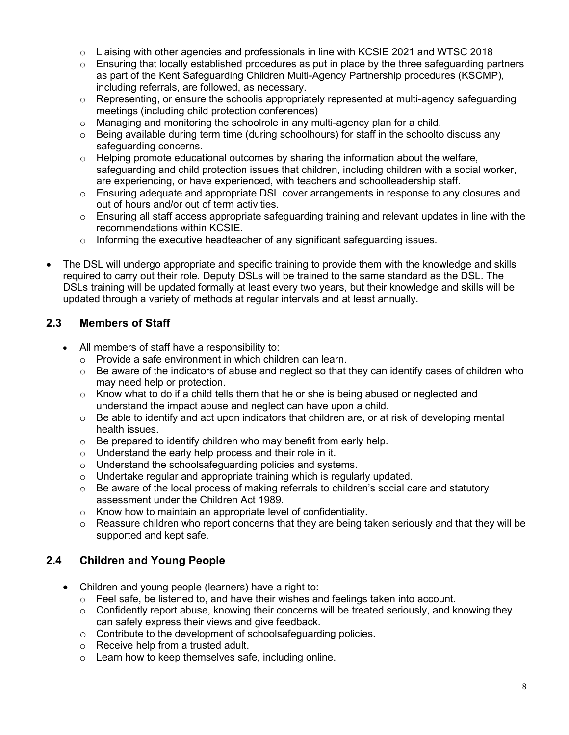- $\circ$  Liaising with other agencies and professionals in line with KCSIE 2021 and WTSC 2018
- o Ensuring that locally established procedures as put in place by the three safeguarding partners as part of the Kent Safeguarding Children Multi-Agency Partnership procedures (KSCMP), including referrals, are followed, as necessary.
- $\circ$  Representing, or ensure the schoolis appropriately represented at multi-agency safeguarding meetings (including child protection conferences)
- o Managing and monitoring the schoolrole in any multi-agency plan for a child.
- $\circ$  Being available during term time (during schoolhours) for staff in the schoolto discuss any safeguarding concerns.
- $\circ$  Helping promote educational outcomes by sharing the information about the welfare, safeguarding and child protection issues that children, including children with a social worker, are experiencing, or have experienced, with teachers and schoolleadership staff.
- $\circ$  Ensuring adequate and appropriate DSL cover arrangements in response to any closures and out of hours and/or out of term activities.
- $\circ$  Ensuring all staff access appropriate safeguarding training and relevant updates in line with the recommendations within KCSIE.
- o Informing the executive headteacher of any significant safeguarding issues.
- The DSL will undergo appropriate and specific training to provide them with the knowledge and skills required to carry out their role. Deputy DSLs will be trained to the same standard as the DSL. The DSLs training will be updated formally at least every two years, but their knowledge and skills will be updated through a variety of methods at regular intervals and at least annually.

## **2.3 Members of Staff**

- All members of staff have a responsibility to:
	- o Provide a safe environment in which children can learn.
	- $\circ$  Be aware of the indicators of abuse and neglect so that they can identify cases of children who may need help or protection.
	- $\circ$  Know what to do if a child tells them that he or she is being abused or neglected and understand the impact abuse and neglect can have upon a child.
	- $\circ$  Be able to identify and act upon indicators that children are, or at risk of developing mental health issues.
	- $\circ$  Be prepared to identify children who may benefit from early help.
	- o Understand the early help process and their role in it.
	- o Understand the schoolsafeguarding policies and systems.
	- o Undertake regular and appropriate training which is regularly updated.
	- $\circ$  Be aware of the local process of making referrals to children's social care and statutory assessment under the Children Act 1989.
	- o Know how to maintain an appropriate level of confidentiality.
	- $\circ$  Reassure children who report concerns that they are being taken seriously and that they will be supported and kept safe.

## **2.4 Children and Young People**

- Children and young people (learners) have a right to:
	- $\circ$  Feel safe, be listened to, and have their wishes and feelings taken into account.
	- o Confidently report abuse, knowing their concerns will be treated seriously, and knowing they can safely express their views and give feedback.
	- o Contribute to the development of schoolsafeguarding policies.
	- o Receive help from a trusted adult.
	- $\circ$  Learn how to keep themselves safe, including online.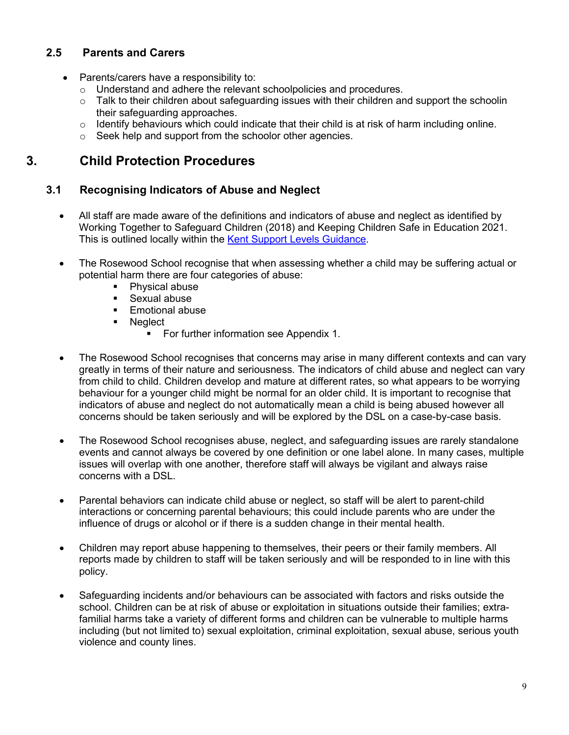## **2.5 Parents and Carers**

- Parents/carers have a responsibility to:
	- o Understand and adhere the relevant schoolpolicies and procedures.
	- $\circ$  Talk to their children about safeguarding issues with their children and support the schoolin their safeguarding approaches.
	- $\circ$  Identify behaviours which could indicate that their child is at risk of harm including online.
	- o Seek help and support from the schoolor other agencies.

## **3. Child Protection Procedures**

## **3.1 Recognising Indicators of Abuse and Neglect**

- All staff are made aware of the definitions and indicators of abuse and neglect as identified by Working Together to Safeguard Children (2018) and Keeping Children Safe in Education 2021. This is outlined locally within the [Kent Support Levels Guidance.](https://www.kscmp.org.uk/guidance/kent-support-levels-guidance)
- The Rosewood School recognise that when assessing whether a child may be suffering actual or potential harm there are four categories of abuse:
	- Physical abuse
	- **Sexual abuse**
	- **Emotional abuse**
	- **Neglect** 
		- **For further information see Appendix 1.**
- The Rosewood School recognises that concerns may arise in many different contexts and can vary greatly in terms of their nature and seriousness. The indicators of child abuse and neglect can vary from child to child. Children develop and mature at different rates, so what appears to be worrying behaviour for a younger child might be normal for an older child. It is important to recognise that indicators of abuse and neglect do not automatically mean a child is being abused however all concerns should be taken seriously and will be explored by the DSL on a case-by-case basis.
- The Rosewood School recognises abuse, neglect, and safeguarding issues are rarely standalone events and cannot always be covered by one definition or one label alone. In many cases, multiple issues will overlap with one another, therefore staff will always be vigilant and always raise concerns with a DSL.
- Parental behaviors can indicate child abuse or neglect, so staff will be alert to parent-child interactions or concerning parental behaviours; this could include parents who are under the influence of drugs or alcohol or if there is a sudden change in their mental health.
- Children may report abuse happening to themselves, their peers or their family members. All reports made by children to staff will be taken seriously and will be responded to in line with this policy.
- Safeguarding incidents and/or behaviours can be associated with factors and risks outside the school. Children can be at risk of abuse or exploitation in situations outside their families; extrafamilial harms take a variety of different forms and children can be vulnerable to multiple harms including (but not limited to) sexual exploitation, criminal exploitation, sexual abuse, serious youth violence and county lines.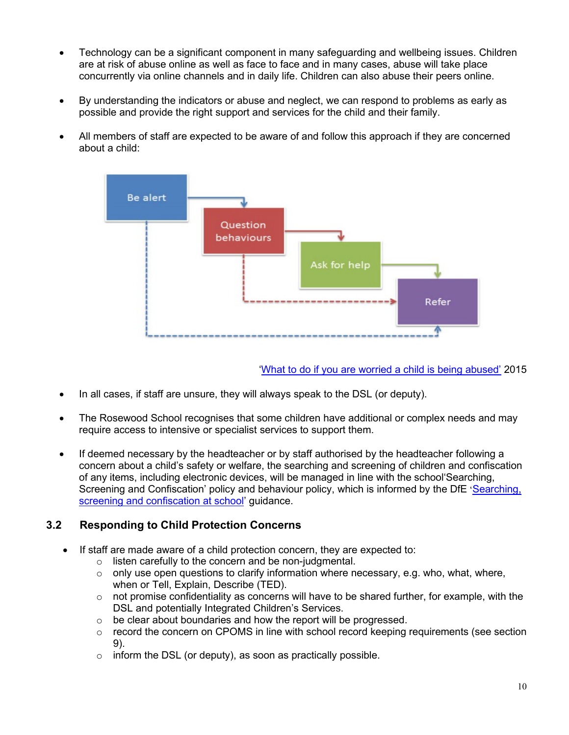- Technology can be a significant component in many safeguarding and wellbeing issues. Children are at risk of abuse online as well as face to face and in many cases, abuse will take place concurrently via online channels and in daily life. Children can also abuse their peers online.
- By understanding the indicators or abuse and neglect, we can respond to problems as early as possible and provide the right support and services for the child and their family.
- All members of staff are expected to be aware of and follow this approach if they are concerned about a child:



['What to do if you are worried a child is being abused'](https://www.gov.uk/government/publications/what-to-do-if-youre-worried-a-child-is-being-abused--2) 2015

- In all cases, if staff are unsure, they will always speak to the DSL (or deputy).
- The Rosewood School recognises that some children have additional or complex needs and may require access to intensive or specialist services to support them.
- If deemed necessary by the headteacher or by staff authorised by the headteacher following a concern about a child's safety or welfare, the searching and screening of children and confiscation of any items, including electronic devices, will be managed in line with the school'Searching, Screening and Confiscation' policy and behaviour policy, which is informed by the DfE '[Searching,](https://www.gov.uk/government/publications/searching-screening-and-confiscation)  [screening and confiscation at school'](https://www.gov.uk/government/publications/searching-screening-and-confiscation) guidance.

## **3.2 Responding to Child Protection Concerns**

- If staff are made aware of a child protection concern, they are expected to:
	- o listen carefully to the concern and be non-judgmental.
	- $\circ$  only use open questions to clarify information where necessary, e.g. who, what, where, when or Tell, Explain, Describe (TED).
	- $\circ$  not promise confidentiality as concerns will have to be shared further, for example, with the DSL and potentially Integrated Children's Services.
	- $\circ$  be clear about boundaries and how the report will be progressed.
	- $\circ$  record the concern on CPOMS in line with school record keeping requirements (see section 9).
	- $\circ$  inform the DSL (or deputy), as soon as practically possible.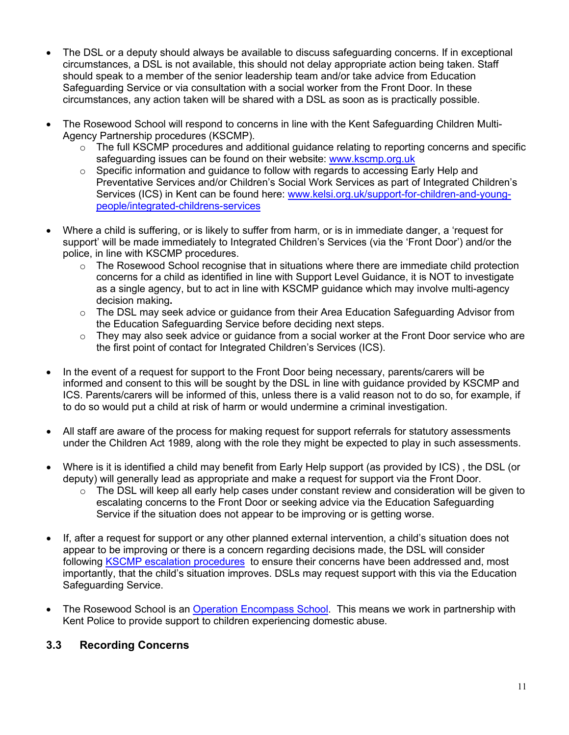- The DSL or a deputy should always be available to discuss safeguarding concerns. If in exceptional circumstances, a DSL is not available, this should not delay appropriate action being taken. Staff should speak to a member of the senior leadership team and/or take advice from Education Safeguarding Service or via consultation with a social worker from the Front Door. In these circumstances, any action taken will be shared with a DSL as soon as is practically possible.
- The Rosewood School will respond to concerns in line with the Kent Safeguarding Children Multi-Agency Partnership procedures (KSCMP).
	- $\circ$  The full KSCMP procedures and additional guidance relating to reporting concerns and specific safeguarding issues can be found on their website: [www.kscmp.org.uk](http://www.kscmp.org.uk/)
	- $\circ$  Specific information and quidance to follow with regards to accessing Early Help and Preventative Services and/or Children's Social Work Services as part of Integrated Children's Services (ICS) in Kent can be found here: [www.kelsi.org.uk/support-for-children-and-young](http://www.kelsi.org.uk/support-for-children-and-young-people/integrated-childrens-services)[people/integrated-childrens-services](http://www.kelsi.org.uk/support-for-children-and-young-people/integrated-childrens-services)
- Where a child is suffering, or is likely to suffer from harm, or is in immediate danger, a 'request for support' will be made immediately to Integrated Children's Services (via the 'Front Door') and/or the police, in line with KSCMP procedures.
	- o The Rosewood School recognise that in situations where there are immediate child protection concerns for a child as identified in line with Support Level Guidance, it is NOT to investigate as a single agency, but to act in line with KSCMP guidance which may involve multi-agency decision making**.**
	- $\circ$  The DSL may seek advice or guidance from their Area Education Safeguarding Advisor from the Education Safeguarding Service before deciding next steps.
	- $\circ$  They may also seek advice or guidance from a social worker at the Front Door service who are the first point of contact for Integrated Children's Services (ICS).
- In the event of a request for support to the Front Door being necessary, parents/carers will be informed and consent to this will be sought by the DSL in line with guidance provided by KSCMP and ICS. Parents/carers will be informed of this, unless there is a valid reason not to do so, for example, if to do so would put a child at risk of harm or would undermine a criminal investigation.
- All staff are aware of the process for making request for support referrals for statutory assessments under the Children Act 1989, along with the role they might be expected to play in such assessments.
- Where is it is identified a child may benefit from Early Help support (as provided by ICS) , the DSL (or deputy) will generally lead as appropriate and make a request for support via the Front Door.
	- $\circ$  The DSL will keep all early help cases under constant review and consideration will be given to escalating concerns to the Front Door or seeking advice via the Education Safeguarding Service if the situation does not appear to be improving or is getting worse.
- If, after a request for support or any other planned external intervention, a child's situation does not appear to be improving or there is a concern regarding decisions made, the DSL will consider following **KSCMP** escalation procedures to ensure their concerns have been addressed and, most importantly, that the child's situation improves. DSLs may request support with this via the Education Safeguarding Service.
- The Rosewood School is an [Operation Encompass School.](https://www.operationencompass.org/) This means we work in partnership with Kent Police to provide support to children experiencing domestic abuse.

## **3.3 Recording Concerns**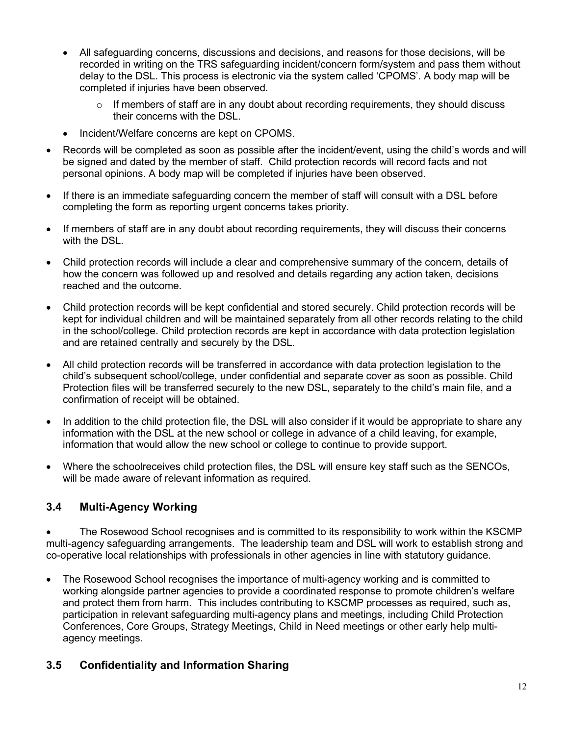- All safeguarding concerns, discussions and decisions, and reasons for those decisions, will be recorded in writing on the TRS safeguarding incident/concern form/system and pass them without delay to the DSL. This process is electronic via the system called 'CPOMS'. A body map will be completed if injuries have been observed.
	- $\circ$  If members of staff are in any doubt about recording requirements, they should discuss their concerns with the DSL.
- Incident/Welfare concerns are kept on CPOMS.
- Records will be completed as soon as possible after the incident/event, using the child's words and will be signed and dated by the member of staff. Child protection records will record facts and not personal opinions. A body map will be completed if injuries have been observed.
- If there is an immediate safeguarding concern the member of staff will consult with a DSL before completing the form as reporting urgent concerns takes priority.
- If members of staff are in any doubt about recording requirements, they will discuss their concerns with the DSL.
- Child protection records will include a clear and comprehensive summary of the concern, details of how the concern was followed up and resolved and details regarding any action taken, decisions reached and the outcome.
- Child protection records will be kept confidential and stored securely. Child protection records will be kept for individual children and will be maintained separately from all other records relating to the child in the school/college. Child protection records are kept in accordance with data protection legislation and are retained centrally and securely by the DSL.
- All child protection records will be transferred in accordance with data protection legislation to the child's subsequent school/college, under confidential and separate cover as soon as possible. Child Protection files will be transferred securely to the new DSL, separately to the child's main file, and a confirmation of receipt will be obtained.
- In addition to the child protection file, the DSL will also consider if it would be appropriate to share any information with the DSL at the new school or college in advance of a child leaving, for example, information that would allow the new school or college to continue to provide support.
- Where the schoolreceives child protection files, the DSL will ensure key staff such as the SENCOs, will be made aware of relevant information as required.

## **3.4 Multi-Agency Working**

• The Rosewood School recognises and is committed to its responsibility to work within the KSCMP multi-agency safeguarding arrangements. The leadership team and DSL will work to establish strong and co-operative local relationships with professionals in other agencies in line with statutory guidance.

• The Rosewood School recognises the importance of multi-agency working and is committed to working alongside partner agencies to provide a coordinated response to promote children's welfare and protect them from harm. This includes contributing to KSCMP processes as required, such as, participation in relevant safeguarding multi-agency plans and meetings, including Child Protection Conferences, Core Groups, Strategy Meetings, Child in Need meetings or other early help multiagency meetings.

## **3.5 Confidentiality and Information Sharing**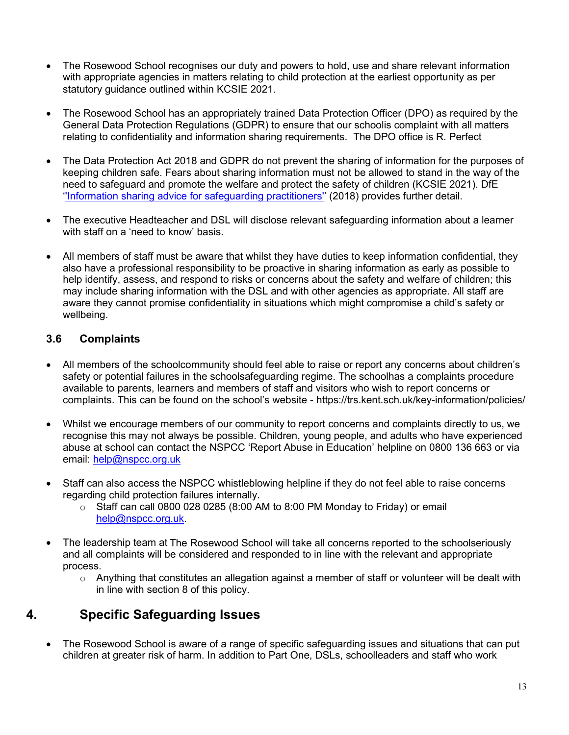- The Rosewood School recognises our duty and powers to hold, use and share relevant information with appropriate agencies in matters relating to child protection at the earliest opportunity as per statutory guidance outlined within KCSIE 2021.
- The Rosewood School has an appropriately trained Data Protection Officer (DPO) as required by the General Data Protection Regulations (GDPR) to ensure that our schoolis complaint with all matters relating to confidentiality and information sharing requirements. The DPO office is R. Perfect
- The Data Protection Act 2018 and GDPR do not prevent the sharing of information for the purposes of keeping children safe. Fears about sharing information must not be allowed to stand in the way of the need to safeguard and promote the welfare and protect the safety of children (KCSIE 2021). DfE "Information sharing advice for safeguarding practitioners" (2018) provides further detail.
- The executive Headteacher and DSL will disclose relevant safeguarding information about a learner with staff on a 'need to know' basis.
- All members of staff must be aware that whilst they have duties to keep information confidential, they also have a professional responsibility to be proactive in sharing information as early as possible to help identify, assess, and respond to risks or concerns about the safety and welfare of children; this may include sharing information with the DSL and with other agencies as appropriate. All staff are aware they cannot promise confidentiality in situations which might compromise a child's safety or wellbeing.

## **3.6 Complaints**

- All members of the schoolcommunity should feel able to raise or report any concerns about children's safety or potential failures in the schoolsafeguarding regime. The schoolhas a complaints procedure available to parents, learners and members of staff and visitors who wish to report concerns or complaints. This can be found on the school's website - https://trs.kent.sch.uk/key-information/policies/
- Whilst we encourage members of our community to report concerns and complaints directly to us, we recognise this may not always be possible. Children, young people, and adults who have experienced abuse at school can contact the NSPCC 'Report Abuse in Education' helpline on [0800 136 663](tel:0800%20136%20663) or via email: [help@nspcc.org.uk](mailto:help@nspcc.org.uk)
- Staff can also access the NSPCC whistleblowing helpline if they do not feel able to raise concerns regarding child protection failures internally.
	- $\circ$  Staff can call 0800 028 0285 (8:00 AM to 8:00 PM Monday to Friday) or email [help@nspcc.org.uk.](mailto:help@nspcc.org.uk)
- The leadership team at The Rosewood School will take all concerns reported to the schoolseriously and all complaints will be considered and responded to in line with the relevant and appropriate process.
	- o Anything that constitutes an allegation against a member of staff or volunteer will be dealt with in line with section 8 of this policy.

## **4. Specific Safeguarding Issues**

• The Rosewood School is aware of a range of specific safeguarding issues and situations that can put children at greater risk of harm. In addition to Part One, DSLs, schoolleaders and staff who work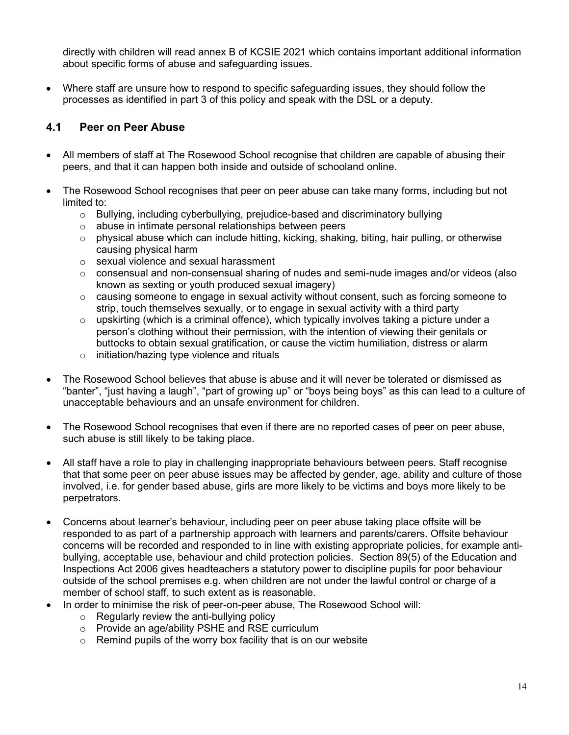directly with children will read annex B of KCSIE 2021 which contains important additional information about specific forms of abuse and safeguarding issues.

• Where staff are unsure how to respond to specific safeguarding issues, they should follow the processes as identified in part 3 of this policy and speak with the DSL or a deputy.

#### **4.1 Peer on Peer Abuse**

- All members of staff at The Rosewood School recognise that children are capable of abusing their peers, and that it can happen both inside and outside of schooland online.
- The Rosewood School recognises that peer on peer abuse can take many forms, including but not limited to:
	- o Bullying, including cyberbullying, prejudice-based and discriminatory bullying
	- o abuse in intimate personal relationships between peers
	- $\circ$  physical abuse which can include hitting, kicking, shaking, biting, hair pulling, or otherwise causing physical harm
	- o sexual violence and sexual harassment
	- $\circ$  consensual and non-consensual sharing of nudes and semi-nude images and/or videos (also known as sexting or youth produced sexual imagery)
	- $\circ$  causing someone to engage in sexual activity without consent, such as forcing someone to strip, touch themselves sexually, or to engage in sexual activity with a third party
	- $\circ$  upskirting (which is a criminal offence), which typically involves taking a picture under a person's clothing without their permission, with the intention of viewing their genitals or buttocks to obtain sexual gratification, or cause the victim humiliation, distress or alarm
	- o initiation/hazing type violence and rituals
- The Rosewood School believes that abuse is abuse and it will never be tolerated or dismissed as "banter", "just having a laugh", "part of growing up" or "boys being boys" as this can lead to a culture of unacceptable behaviours and an unsafe environment for children.
- The Rosewood School recognises that even if there are no reported cases of peer on peer abuse, such abuse is still likely to be taking place.
- All staff have a role to play in challenging inappropriate behaviours between peers. Staff recognise that that some peer on peer abuse issues may be affected by gender, age, ability and culture of those involved, i.e. for gender based abuse, girls are more likely to be victims and boys more likely to be perpetrators.
- Concerns about learner's behaviour, including peer on peer abuse taking place offsite will be responded to as part of a partnership approach with learners and parents/carers. Offsite behaviour concerns will be recorded and responded to in line with existing appropriate policies, for example antibullying, acceptable use, behaviour and child protection policies. Section 89(5) of the Education and Inspections Act 2006 gives headteachers a statutory power to discipline pupils for poor behaviour outside of the school premises e.g. when children are not under the lawful control or charge of a member of school staff, to such extent as is reasonable.
- In order to minimise the risk of peer-on-peer abuse, The Rosewood School will:
	- $\circ$  Regularly review the anti-bullying policy
	- o Provide an age/ability PSHE and RSE curriculum
	- $\circ$  Remind pupils of the worry box facility that is on our website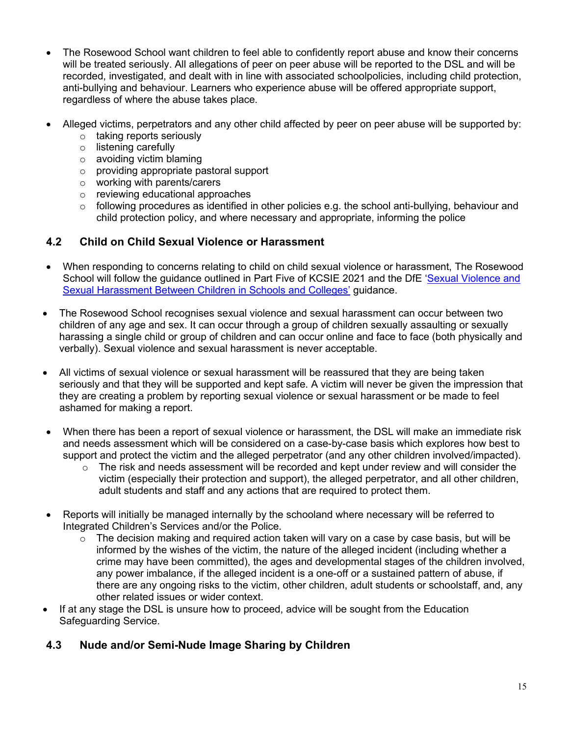- The Rosewood School want children to feel able to confidently report abuse and know their concerns will be treated seriously. All allegations of peer on peer abuse will be reported to the DSL and will be recorded, investigated, and dealt with in line with associated schoolpolicies, including child protection, anti-bullying and behaviour. Learners who experience abuse will be offered appropriate support, regardless of where the abuse takes place.
- Alleged victims, perpetrators and any other child affected by peer on peer abuse will be supported by:
	- o taking reports seriously
	- o listening carefully
	- o avoiding victim blaming
	- o providing appropriate pastoral support
	- o working with parents/carers
	- o reviewing educational approaches
	- $\circ$  following procedures as identified in other policies e.g. the school anti-bullying, behaviour and child protection policy, and where necessary and appropriate, informing the police

## **4.2 Child on Child Sexual Violence or Harassment**

- When responding to concerns relating to child on child sexual violence or harassment, The Rosewood School will follow the guidance outlined in Part Five of KCSIE 2021 and the DfE ['Sexual Violence and](https://www.gov.uk/government/publications/sexual-violence-and-sexual-harassment-between-children-in-schools-and-colleges)  [Sexual Harassment Between Children in Schools and Colleges'](https://www.gov.uk/government/publications/sexual-violence-and-sexual-harassment-between-children-in-schools-and-colleges) guidance.
- The Rosewood School recognises sexual violence and sexual harassment can occur between two children of any age and sex. It can occur through a group of children sexually assaulting or sexually harassing a single child or group of children and can occur online and face to face (both physically and verbally). Sexual violence and sexual harassment is never acceptable.
- All victims of sexual violence or sexual harassment will be reassured that they are being taken seriously and that they will be supported and kept safe. A victim will never be given the impression that they are creating a problem by reporting sexual violence or sexual harassment or be made to feel ashamed for making a report.
- When there has been a report of sexual violence or harassment, the DSL will make an immediate risk and needs assessment which will be considered on a case-by-case basis which explores how best to support and protect the victim and the alleged perpetrator (and any other children involved/impacted).
	- $\circ$  The risk and needs assessment will be recorded and kept under review and will consider the victim (especially their protection and support), the alleged perpetrator, and all other children, adult students and staff and any actions that are required to protect them.
- Reports will initially be managed internally by the schooland where necessary will be referred to Integrated Children's Services and/or the Police.
	- $\circ$  The decision making and required action taken will vary on a case by case basis, but will be informed by the wishes of the victim, the nature of the alleged incident (including whether a crime may have been committed), the ages and developmental stages of the children involved, any power imbalance, if the alleged incident is a one-off or a sustained pattern of abuse, if there are any ongoing risks to the victim, other children, adult students or schoolstaff, and, any other related issues or wider context.
- If at any stage the DSL is unsure how to proceed, advice will be sought from the Education Safeguarding Service.

## **4.3 Nude and/or Semi-Nude Image Sharing by Children**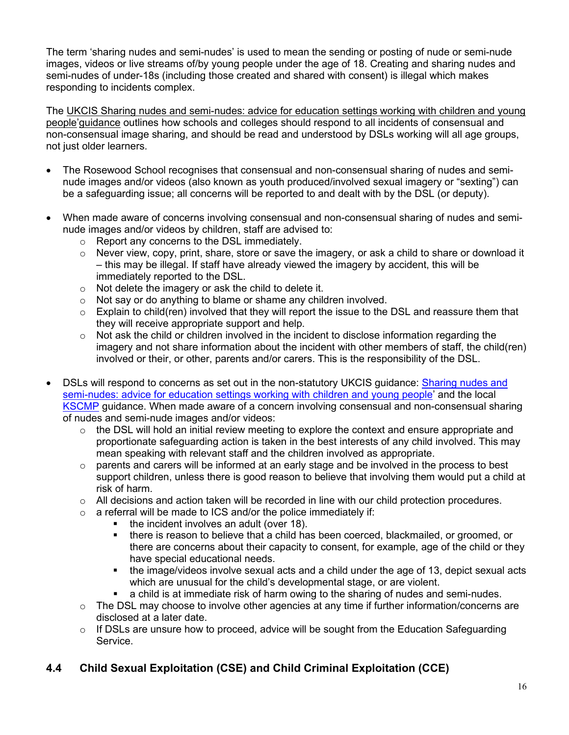The term 'sharing nudes and semi-nudes' is used to mean the sending or posting of nude or semi-nude images, videos or live streams of/by young people under the age of 18. Creating and sharing nudes and semi-nudes of under-18s (including those created and shared with consent) is illegal which makes responding to incidents complex.

The UKCIS [Sharing nudes and semi-nudes: advice for education settings working with children and young](https://www.gov.uk/government/publications/sharing-nudes-and-semi-nudes-advice-for-education-settings-working-with-children-and-young-people)  [people'](https://www.gov.uk/government/publications/sharing-nudes-and-semi-nudes-advice-for-education-settings-working-with-children-and-young-people)guidance outlines how schools and colleges should respond to all incidents of consensual and non-consensual image sharing, and should be read and understood by DSLs working will all age groups, not just older learners.

- The Rosewood School recognises that consensual and non-consensual sharing of nudes and seminude images and/or videos (also known as youth produced/involved sexual imagery or "sexting") can be a safeguarding issue; all concerns will be reported to and dealt with by the DSL (or deputy).
- When made aware of concerns involving consensual and non-consensual sharing of nudes and seminude images and/or videos by children, staff are advised to:
	- o Report any concerns to the DSL immediately.
	- $\circ$  Never view, copy, print, share, store or save the imagery, or ask a child to share or download it – this may be illegal. If staff have already viewed the imagery by accident, this will be immediately reported to the DSL.
	- o Not delete the imagery or ask the child to delete it.
	- o Not say or do anything to blame or shame any children involved.
	- $\circ$  Explain to child(ren) involved that they will report the issue to the DSL and reassure them that they will receive appropriate support and help.
	- $\circ$  Not ask the child or children involved in the incident to disclose information regarding the imagery and not share information about the incident with other members of staff, the child(ren) involved or their, or other, parents and/or carers. This is the responsibility of the DSL.
- DSLs will respond to concerns as set out in the non-statutory UKCIS guidance: Sharing nudes and [semi-nudes: advice for education settings working with children and young people'](https://www.gov.uk/government/publications/sharing-nudes-and-semi-nudes-advice-for-education-settings-working-with-children-and-young-people) and the local [KSCMP](http://www.kscb.org.uk/guidance/online-safety) guidance. When made aware of a concern involving consensual and non-consensual sharing of nudes and semi-nude images and/or videos:
	- $\circ$  the DSL will hold an initial review meeting to explore the context and ensure appropriate and proportionate safeguarding action is taken in the best interests of any child involved. This may mean speaking with relevant staff and the children involved as appropriate.
	- $\circ$  parents and carers will be informed at an early stage and be involved in the process to best support children, unless there is good reason to believe that involving them would put a child at risk of harm.
	- o All decisions and action taken will be recorded in line with our child protection procedures.
	- $\circ$  a referral will be made to ICS and/or the police immediately if:
		- the incident involves an adult (over 18).<br>■ there is reason to believe that a child ha
		- there is reason to believe that a child has been coerced, blackmailed, or groomed, or there are concerns about their capacity to consent, for example, age of the child or they have special educational needs.
		- the image/videos involve sexual acts and a child under the age of 13, depict sexual acts which are unusual for the child's developmental stage, or are violent.
		- a child is at immediate risk of harm owing to the sharing of nudes and semi-nudes.
	- $\circ$  The DSL may choose to involve other agencies at any time if further information/concerns are disclosed at a later date.
	- $\circ$  If DSLs are unsure how to proceed, advice will be sought from the Education Safeguarding Service.

## **4.4 Child Sexual Exploitation (CSE) and Child Criminal Exploitation (CCE)**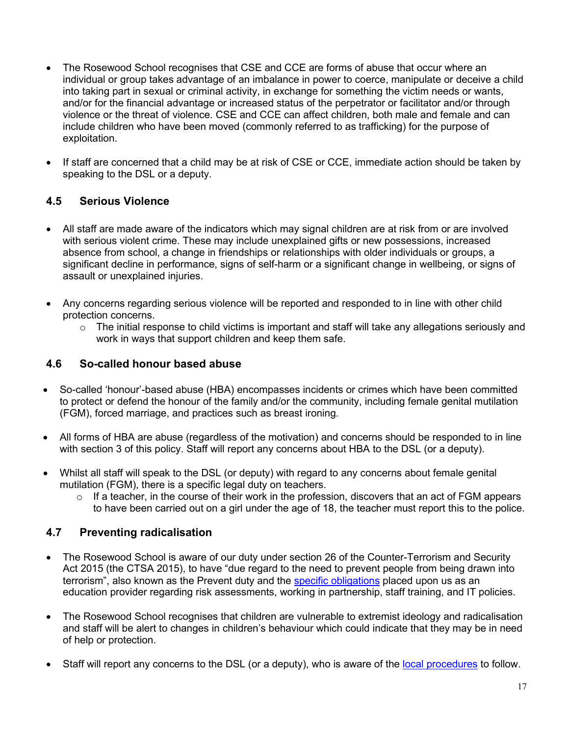- The Rosewood School recognises that CSE and CCE are forms of abuse that occur where an individual or group takes advantage of an imbalance in power to coerce, manipulate or deceive a child into taking part in sexual or criminal activity, in exchange for something the victim needs or wants, and/or for the financial advantage or increased status of the perpetrator or facilitator and/or through violence or the threat of violence. CSE and CCE can affect children, both male and female and can include children who have been moved (commonly referred to as trafficking) for the purpose of exploitation.
- If staff are concerned that a child may be at risk of CSE or CCE, immediate action should be taken by speaking to the DSL or a deputy.

## **4.5 Serious Violence**

- All staff are made aware of the indicators which may signal children are at risk from or are involved with serious violent crime. These may include unexplained gifts or new possessions, increased absence from school, a change in friendships or relationships with older individuals or groups, a significant decline in performance, signs of self-harm or a significant change in wellbeing, or signs of assault or unexplained injuries.
- Any concerns regarding serious violence will be reported and responded to in line with other child protection concerns.
	- $\circ$  The initial response to child victims is important and staff will take any allegations seriously and work in ways that support children and keep them safe.

## **4.6 So-called honour based abuse**

- So-called 'honour'-based abuse (HBA) encompasses incidents or crimes which have been committed to protect or defend the honour of the family and/or the community, including female genital mutilation (FGM), forced marriage, and practices such as breast ironing.
- All forms of HBA are abuse (regardless of the motivation) and concerns should be responded to in line with section 3 of this policy. Staff will report any concerns about HBA to the DSL (or a deputy).
- Whilst all staff will speak to the DSL (or deputy) with regard to any concerns about female genital mutilation (FGM), there is a specific legal duty on teachers.
	- $\circ$  If a teacher, in the course of their work in the profession, discovers that an act of FGM appears to have been carried out on a girl under the age of 18, the teacher must report this to the police.

## **4.7 Preventing radicalisation**

- The Rosewood School is aware of our duty under section 26 of the Counter-Terrorism and Security Act 2015 (the CTSA 2015), to have "due regard to the need to prevent people from being drawn into terrorism", also known as the Prevent duty and the [specific obligations](https://www.gov.uk/government/publications/prevent-duty-guidance/prevent-duty-guidance-for-further-education-institutions-in-england-and-wales) placed upon us as an education provider regarding risk assessments, working in partnership, staff training, and IT policies.
- The Rosewood School recognises that children are vulnerable to extremist ideology and radicalisation and staff will be alert to changes in children's behaviour which could indicate that they may be in need of help or protection.
- Staff will report any concerns to the DSL (or a deputy), who is aware of the [local procedures](https://www.kelsi.org.uk/child-protection-and-safeguarding/prevent-within-schools) to follow.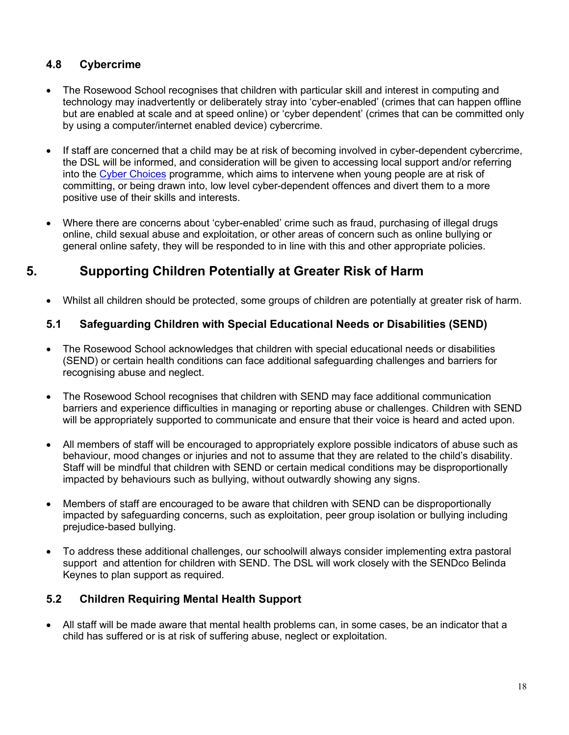## **4.8 Cybercrime**

- The Rosewood School recognises that children with particular skill and interest in computing and technology may inadvertently or deliberately stray into 'cyber-enabled' (crimes that can happen offline but are enabled at scale and at speed online) or 'cyber dependent' (crimes that can be committed only by using a computer/internet enabled device) cybercrime.
- If staff are concerned that a child may be at risk of becoming involved in cyber-dependent cybercrime, the DSL will be informed, and consideration will be given to accessing local support and/or referring into the [Cyber Choices](http://www.cyberchoices.uk/) programme, which aims to intervene when young people are at risk of committing, or being drawn into, low level cyber-dependent offences and divert them to a more positive use of their skills and interests.
- Where there are concerns about 'cyber-enabled' crime such as fraud, purchasing of illegal drugs online, child sexual abuse and exploitation, or other areas of concern such as online bullying or general online safety, they will be responded to in line with this and other appropriate policies.

## **5. Supporting Children Potentially at Greater Risk of Harm**

• Whilst all children should be protected, some groups of children are potentially at greater risk of harm.

## **5.1 Safeguarding Children with Special Educational Needs or Disabilities (SEND)**

- The Rosewood School acknowledges that children with special educational needs or disabilities (SEND) or certain health conditions can face additional safeguarding challenges and barriers for recognising abuse and neglect.
- The Rosewood School recognises that children with SEND may face additional communication barriers and experience difficulties in managing or reporting abuse or challenges. Children with SEND will be appropriately supported to communicate and ensure that their voice is heard and acted upon.
- All members of staff will be encouraged to appropriately explore possible indicators of abuse such as behaviour, mood changes or injuries and not to assume that they are related to the child's disability. Staff will be mindful that children with SEND or certain medical conditions may be disproportionally impacted by behaviours such as bullying, without outwardly showing any signs.
- Members of staff are encouraged to be aware that children with SEND can be disproportionally impacted by safeguarding concerns, such as exploitation, peer group isolation or bullying including prejudice-based bullying.
- To address these additional challenges, our schoolwill always consider implementing extra pastoral support and attention for children with SEND. The DSL will work closely with the SENDco Belinda Keynes to plan support as required.

## **5.2 Children Requiring Mental Health Support**

• All staff will be made aware that mental health problems can, in some cases, be an indicator that a child has suffered or is at risk of suffering abuse, neglect or exploitation.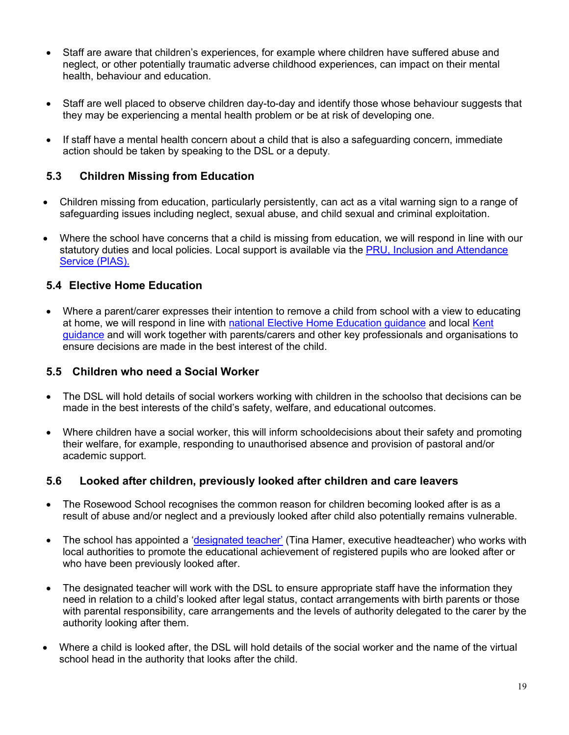- Staff are aware that children's experiences, for example where children have suffered abuse and neglect, or other potentially traumatic adverse childhood experiences, can impact on their mental health, behaviour and education.
- Staff are well placed to observe children day-to-day and identify those whose behaviour suggests that they may be experiencing a mental health problem or be at risk of developing one.
- If staff have a mental health concern about a child that is also a safeguarding concern, immediate action should be taken by speaking to the DSL or a deputy.

#### **5.3 Children Missing from Education**

- Children missing from education, particularly persistently, can act as a vital warning sign to a range of safeguarding issues including neglect, sexual abuse, and child sexual and criminal exploitation.
- Where the school have concerns that a child is missing from education, we will respond in line with our statutory duties and local policies. Local support is available via the [PRU, Inclusion and Attendance](https://www.kelsi.org.uk/pru-inclusion-and-attendance-service-pias)  [Service \(PIAS\).](https://www.kelsi.org.uk/pru-inclusion-and-attendance-service-pias)

#### **5.4 Elective Home Education**

• Where a parent/carer expresses their intention to remove a child from school with a view to educating at home, we will respond in line with [national Elective Home Education guidance](https://www.gov.uk/government/publications/elective-home-education) and local [Kent](https://www.kent.gov.uk/education-and-children/educating-your-child-at-home) [guidance](https://www.kent.gov.uk/education-and-children/educating-your-child-at-home) and will work together with parents/carers and other key professionals and organisations to ensure decisions are made in the best interest of the child.

#### **5.5 Children who need a Social Worker**

- The DSL will hold details of social workers working with children in the schoolso that decisions can be made in the best interests of the child's safety, welfare, and educational outcomes.
- Where children have a social worker, this will inform schooldecisions about their safety and promoting their welfare, for example, responding to unauthorised absence and provision of pastoral and/or academic support.

#### **5.6 Looked after children, previously looked after children and care leavers**

- The Rosewood School recognises the common reason for children becoming looked after is as a result of abuse and/or neglect and a previously looked after child also potentially remains vulnerable.
- The school has appointed a ['designated teacher'](https://www.gov.uk/government/publications/designated-teacher-for-looked-after-children) (Tina Hamer, executive headteacher) who works with local authorities to promote the educational achievement of registered pupils who are looked after or who have been previously looked after.
- The designated teacher will work with the DSL to ensure appropriate staff have the information they need in relation to a child's looked after legal status, contact arrangements with birth parents or those with parental responsibility, care arrangements and the levels of authority delegated to the carer by the authority looking after them.
- Where a child is looked after, the DSL will hold details of the social worker and the name of the virtual school head in the authority that looks after the child.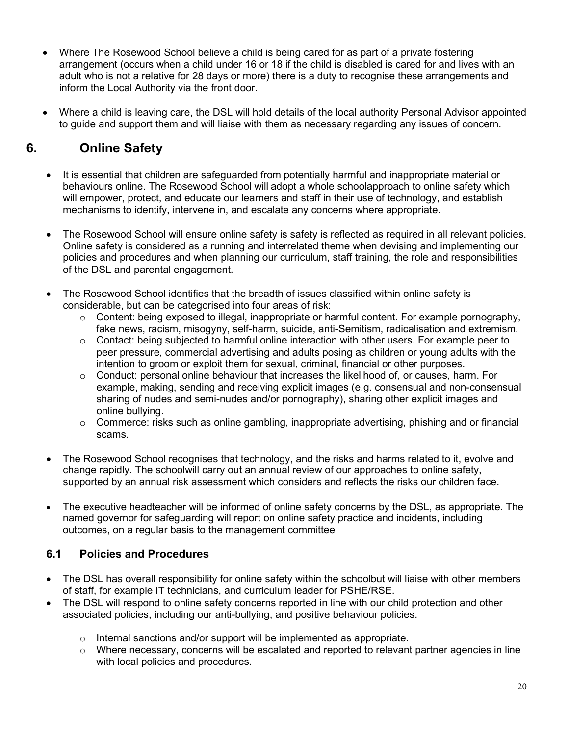- Where The Rosewood School believe a child is being cared for as part of a private fostering arrangement (occurs when a child under 16 or 18 if the child is disabled is cared for and lives with an adult who is not a relative for 28 days or more) there is a duty to recognise these arrangements and inform the Local Authority via the front door.
- Where a child is leaving care, the DSL will hold details of the local authority Personal Advisor appointed to guide and support them and will liaise with them as necessary regarding any issues of concern.

## **6. Online Safety**

- It is essential that children are safeguarded from potentially harmful and inappropriate material or behaviours online. The Rosewood School will adopt a whole schoolapproach to online safety which will empower, protect, and educate our learners and staff in their use of technology, and establish mechanisms to identify, intervene in, and escalate any concerns where appropriate.
- The Rosewood School will ensure online safety is safety is reflected as required in all relevant policies. Online safety is considered as a running and interrelated theme when devising and implementing our policies and procedures and when planning our curriculum, staff training, the role and responsibilities of the DSL and parental engagement.
- The Rosewood School identifies that the breadth of issues classified within online safety is considerable, but can be categorised into four areas of risk:
	- o Content: being exposed to illegal, inappropriate or harmful content. For example pornography, fake news, racism, misogyny, self-harm, suicide, anti-Semitism, radicalisation and extremism.
	- $\circ$  Contact: being subjected to harmful online interaction with other users. For example peer to peer pressure, commercial advertising and adults posing as children or young adults with the intention to groom or exploit them for sexual, criminal, financial or other purposes.
	- $\circ$  Conduct: personal online behaviour that increases the likelihood of, or causes, harm. For example, making, sending and receiving explicit images (e.g. consensual and non-consensual sharing of nudes and semi-nudes and/or pornography), sharing other explicit images and online bullying.
	- o Commerce: risks such as online gambling, inappropriate advertising, phishing and or financial scams.
- The Rosewood School recognises that technology, and the risks and harms related to it, evolve and change rapidly. The schoolwill carry out an annual review of our approaches to online safety, supported by an annual risk assessment which considers and reflects the risks our children face.
- The executive headteacher will be informed of online safety concerns by the DSL, as appropriate. The named governor for safeguarding will report on online safety practice and incidents, including outcomes, on a regular basis to the management committee

## **6.1 Policies and Procedures**

- The DSL has overall responsibility for online safety within the schoolbut will liaise with other members of staff, for example IT technicians, and curriculum leader for PSHE/RSE.
- The DSL will respond to online safety concerns reported in line with our child protection and other associated policies, including our anti-bullying, and positive behaviour policies.
	- o Internal sanctions and/or support will be implemented as appropriate.
	- $\circ$  Where necessary, concerns will be escalated and reported to relevant partner agencies in line with local policies and procedures.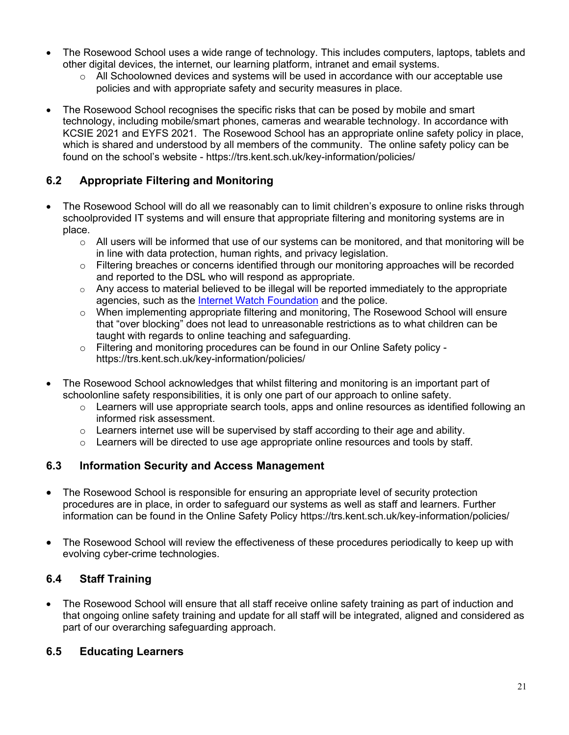- The Rosewood School uses a wide range of technology. This includes computers, laptops, tablets and other digital devices, the internet, our learning platform, intranet and email systems.
	- $\circ$  All Schoolowned devices and systems will be used in accordance with our acceptable use policies and with appropriate safety and security measures in place.
- The Rosewood School recognises the specific risks that can be posed by mobile and smart technology, including mobile/smart phones, cameras and wearable technology. In accordance with KCSIE 2021 and EYFS 2021. The Rosewood School has an appropriate online safety policy in place, which is shared and understood by all members of the community.The online safety policy can be found on the school's website - https://trs.kent.sch.uk/key-information/policies/

## **6.2 Appropriate Filtering and Monitoring**

- The Rosewood School will do all we reasonably can to limit children's exposure to online risks through schoolprovided IT systems and will ensure that appropriate filtering and monitoring systems are in place.
	- $\circ$  All users will be informed that use of our systems can be monitored, and that monitoring will be in line with data protection, human rights, and privacy legislation.
	- $\circ$  Filtering breaches or concerns identified through our monitoring approaches will be recorded and reported to the DSL who will respond as appropriate.
	- $\circ$  Any access to material believed to be illegal will be reported immediately to the appropriate agencies, such as the [Internet Watch Foundation](https://www.iwf.org.uk/) and the police.
	- $\circ$  When implementing appropriate filtering and monitoring, The Rosewood School will ensure that "over blocking" does not lead to unreasonable restrictions as to what children can be taught with regards to online teaching and safeguarding.
	- $\circ$  Filtering and monitoring procedures can be found in our Online Safety policy https://trs.kent.sch.uk/key-information/policies/
- The Rosewood School acknowledges that whilst filtering and monitoring is an important part of schoolonline safety responsibilities, it is only one part of our approach to online safety.
	- $\circ$  Learners will use appropriate search tools, apps and online resources as identified following an informed risk assessment.
	- $\circ$  Learners internet use will be supervised by staff according to their age and ability.
	- $\circ$  Learners will be directed to use age appropriate online resources and tools by staff.

## **6.3 Information Security and Access Management**

- The Rosewood School is responsible for ensuring an appropriate level of security protection procedures are in place, in order to safeguard our systems as well as staff and learners. Further information can be found in the Online Safety Policy https://trs.kent.sch.uk/key-information/policies/
- The Rosewood School will review the effectiveness of these procedures periodically to keep up with evolving cyber-crime technologies.

## **6.4 Staff Training**

• The Rosewood School will ensure that all staff receive online safety training as part of induction and that ongoing online safety training and update for all staff will be integrated, aligned and considered as part of our overarching safeguarding approach.

## **6.5 Educating Learners**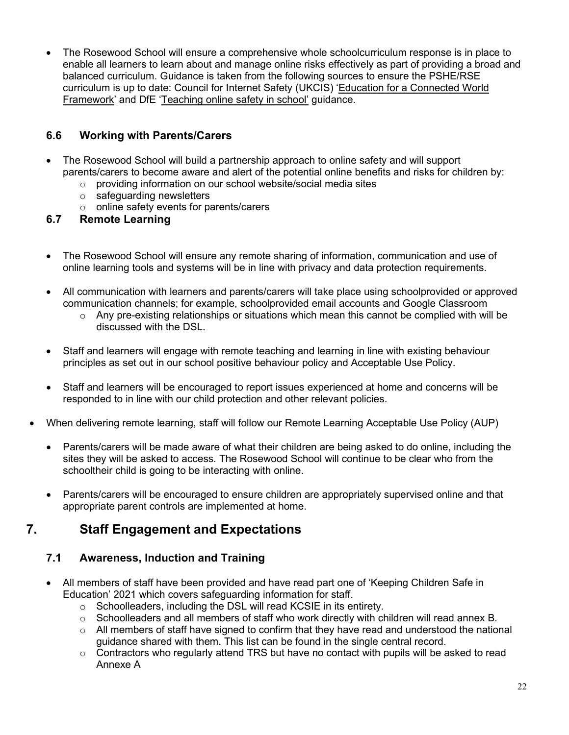• The Rosewood School will ensure a comprehensive whole schoolcurriculum response is in place to enable all learners to learn about and manage online risks effectively as part of providing a broad and balanced curriculum. Guidance is taken from the following sources to ensure the PSHE/RSE curriculum is up to date: Council for Internet Safety (UKCIS) ['Education for a Connected World](https://www.gov.uk/government/publications/education-for-a-connected-world)  [Framework'](https://www.gov.uk/government/publications/education-for-a-connected-world) and DfE ['Teaching online safety in school'](https://www.gov.uk/government/publications/teaching-online-safety-in-schools) guidance.

## **6.6 Working with Parents/Carers**

- The Rosewood School will build a partnership approach to online safety and will support parents/carers to become aware and alert of the potential online benefits and risks for children by:
	- o providing information on our school website/social media sites
	- o safeguarding newsletters
	- o online safety events for parents/carers

#### **6.7 Remote Learning**

- The Rosewood School will ensure any remote sharing of information, communication and use of online learning tools and systems will be in line with privacy and data protection requirements.
- All communication with learners and parents/carers will take place using schoolprovided or approved communication channels; for example, schoolprovided email accounts and Google Classroom
	- $\circ$  Any pre-existing relationships or situations which mean this cannot be complied with will be discussed with the DSL.
- Staff and learners will engage with remote teaching and learning in line with existing behaviour principles as set out in our school positive behaviour policy and Acceptable Use Policy.
- Staff and learners will be encouraged to report issues experienced at home and concerns will be responded to in line with our child protection and other relevant policies.
- When delivering remote learning, staff will follow our Remote Learning Acceptable Use Policy (AUP)
	- Parents/carers will be made aware of what their children are being asked to do online, including the sites they will be asked to access. The Rosewood School will continue to be clear who from the schooltheir child is going to be interacting with online.
	- Parents/carers will be encouraged to ensure children are appropriately supervised online and that appropriate parent controls are implemented at home.

## **7. Staff Engagement and Expectations**

## **7.1 Awareness, Induction and Training**

- All members of staff have been provided and have read part one of 'Keeping Children Safe in Education' 2021 which covers safeguarding information for staff.
	- o Schoolleaders, including the DSL will read KCSIE in its entirety.
	- $\circ$  Schoolleaders and all members of staff who work directly with children will read annex B.
	- $\circ$  All members of staff have signed to confirm that they have read and understood the national guidance shared with them. This list can be found in the single central record.
	- o Contractors who regularly attend TRS but have no contact with pupils will be asked to read Annexe A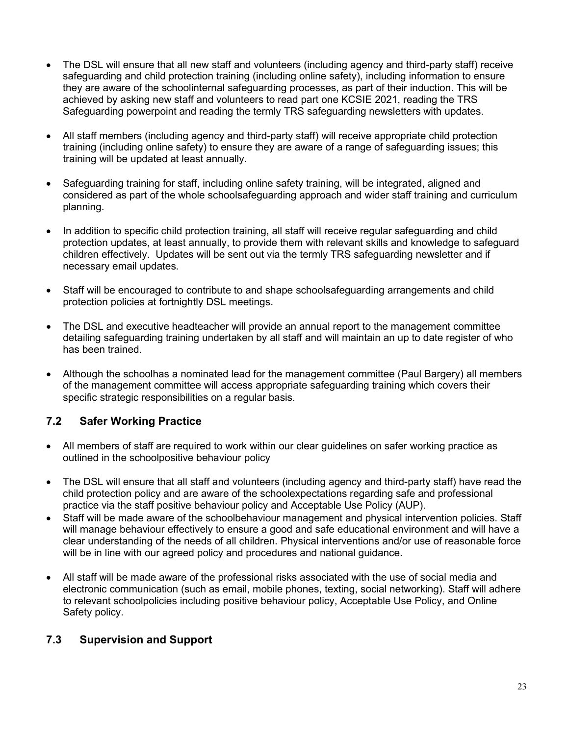- The DSL will ensure that all new staff and volunteers (including agency and third-party staff) receive safeguarding and child protection training (including online safety), including information to ensure they are aware of the schoolinternal safeguarding processes, as part of their induction. This will be achieved by asking new staff and volunteers to read part one KCSIE 2021, reading the TRS Safeguarding powerpoint and reading the termly TRS safeguarding newsletters with updates.
- All staff members (including agency and third-party staff) will receive appropriate child protection training (including online safety) to ensure they are aware of a range of safeguarding issues; this training will be updated at least annually.
- Safeguarding training for staff, including online safety training, will be integrated, aligned and considered as part of the whole schoolsafeguarding approach and wider staff training and curriculum planning.
- In addition to specific child protection training, all staff will receive regular safeguarding and child protection updates, at least annually, to provide them with relevant skills and knowledge to safeguard children effectively. Updates will be sent out via the termly TRS safeguarding newsletter and if necessary email updates.
- Staff will be encouraged to contribute to and shape schoolsafeguarding arrangements and child protection policies at fortnightly DSL meetings.
- The DSL and executive headteacher will provide an annual report to the management committee detailing safeguarding training undertaken by all staff and will maintain an up to date register of who has been trained.
- Although the schoolhas a nominated lead for the management committee (Paul Bargery) all members of the management committee will access appropriate safeguarding training which covers their specific strategic responsibilities on a regular basis.

## **7.2 Safer Working Practice**

- All members of staff are required to work within our clear guidelines on safer working practice as outlined in the schoolpositive behaviour policy
- The DSL will ensure that all staff and volunteers (including agency and third-party staff) have read the child protection policy and are aware of the schoolexpectations regarding safe and professional practice via the staff positive behaviour policy and Acceptable Use Policy (AUP).
- Staff will be made aware of the schoolbehaviour management and physical intervention policies. Staff will manage behaviour effectively to ensure a good and safe educational environment and will have a clear understanding of the needs of all children. Physical interventions and/or use of reasonable force will be in line with our agreed policy and procedures and national guidance.
- All staff will be made aware of the professional risks associated with the use of social media and electronic communication (such as email, mobile phones, texting, social networking). Staff will adhere to relevant schoolpolicies including positive behaviour policy, Acceptable Use Policy, and Online Safety policy.

## **7.3 Supervision and Support**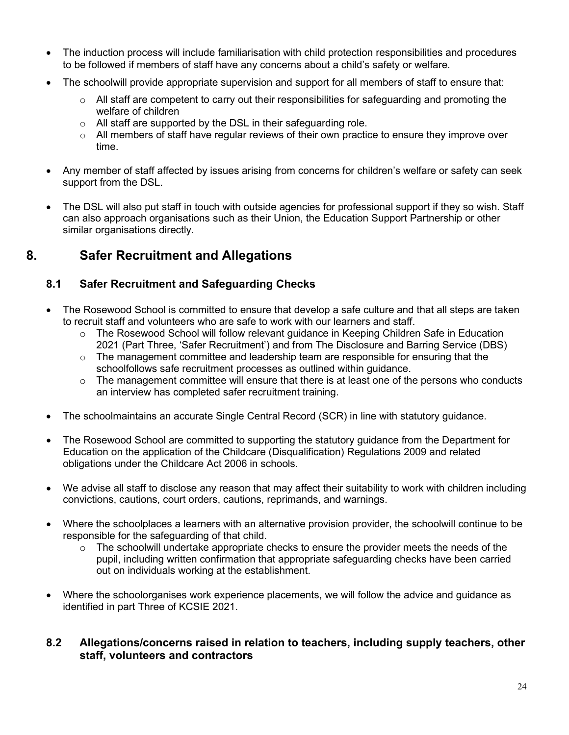- The induction process will include familiarisation with child protection responsibilities and procedures to be followed if members of staff have any concerns about a child's safety or welfare.
- The schoolwill provide appropriate supervision and support for all members of staff to ensure that:
	- $\circ$  All staff are competent to carry out their responsibilities for safeguarding and promoting the welfare of children
	- $\circ$  All staff are supported by the DSL in their safeguarding role.
	- $\circ$  All members of staff have regular reviews of their own practice to ensure they improve over time.
- Any member of staff affected by issues arising from concerns for children's welfare or safety can seek support from the DSL.
- The DSL will also put staff in touch with outside agencies for professional support if they so wish. Staff can also approach organisations such as their Union, the Education Support Partnership or other similar organisations directly.

## **8. Safer Recruitment and Allegations**

## **8.1 Safer Recruitment and Safeguarding Checks**

- The Rosewood School is committed to ensure that develop a safe culture and that all steps are taken to recruit staff and volunteers who are safe to work with our learners and staff.
	- o The Rosewood School will follow relevant guidance in Keeping Children Safe in Education 2021 (Part Three, 'Safer Recruitment') and from The Disclosure and Barring Service (DBS)
	- o The management committee and leadership team are responsible for ensuring that the schoolfollows safe recruitment processes as outlined within guidance.
	- $\circ$  The management committee will ensure that there is at least one of the persons who conducts an interview has completed safer recruitment training.
- The schoolmaintains an accurate Single Central Record (SCR) in line with statutory guidance.
- The Rosewood School are committed to supporting the statutory guidance from the Department for Education on the application of the Childcare (Disqualification) Regulations 2009 and related obligations under the Childcare Act 2006 in schools.
- We advise all staff to disclose any reason that may affect their suitability to work with children including convictions, cautions, court orders, cautions, reprimands, and warnings.
- Where the schoolplaces a learners with an alternative provision provider, the schoolwill continue to be responsible for the safeguarding of that child.
	- $\circ$  The schoolwill undertake appropriate checks to ensure the provider meets the needs of the pupil, including written confirmation that appropriate safeguarding checks have been carried out on individuals working at the establishment.
- Where the schoolorganises work experience placements, we will follow the advice and guidance as identified in part Three of KCSIE 2021.

#### **8.2 Allegations/concerns raised in relation to teachers, including supply teachers, other staff, volunteers and contractors**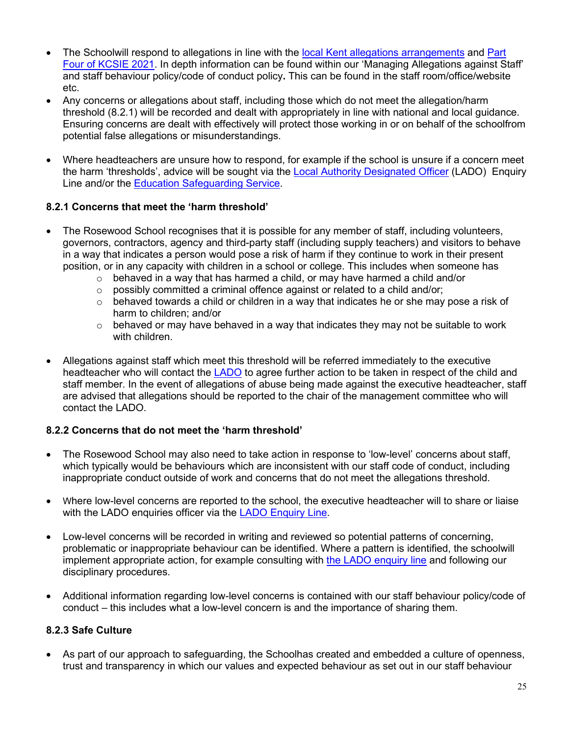- The Schoolwill respond to allegations in line with the local Kent allegations [arrangements](https://www.kscmp.org.uk/procedures/local-authority-designated-officer-lado) and Part [Four of KCSIE 2021.](https://www.gov.uk/government/publications/keeping-children-safe-in-education--2) In depth information can be found within our 'Managing Allegations against Staff' and staff behaviour policy/code of conduct policy**.** This can be found in the staff room/office/website etc.
- Any concerns or allegations about staff, including those which do not meet the allegation/harm threshold (8.2.1) will be recorded and dealt with appropriately in line with national and local guidance. Ensuring concerns are dealt with effectively will protect those working in or on behalf of the schoolfrom potential false allegations or misunderstandings.
- Where headteachers are unsure how to respond, for example if the school is unsure if a concern meet the harm 'thresholds', advice will be sought via the [Local Authority Designated Officer](https://www.kscmp.org.uk/procedures/local-authority-designated-officer-lado) (LADO) Enquiry Line and/or the [Education Safeguarding Service.](https://www.theeducationpeople.org/our-expertise/safeguarding/safeguarding-contacts/)

#### **8.2.1 Concerns that meet the 'harm threshold'**

- The Rosewood School recognises that it is possible for any member of staff, including volunteers, governors, contractors, agency and third-party staff (including supply teachers) and visitors to behave in a way that indicates a person would pose a risk of harm if they continue to work in their present position, or in any capacity with children in a school or college. This includes when someone has
	- $\circ$  behaved in a way that has harmed a child, or may have harmed a child and/or  $\circ$  possibly committed a criminal offence against or related to a child and/or:
	- o possibly committed a criminal offence against or related to a child and/or;
	- $\circ$  behaved towards a child or children in a way that indicates he or she may pose a risk of harm to children; and/or
	- $\circ$  behaved or may have behaved in a way that indicates they may not be suitable to work with children.
- Allegations against staff which meet this threshold will be referred immediately to the executive headteacher who will contact the [LADO](https://www.kscmp.org.uk/procedures/local-authority-designated-officer-lado) to agree further action to be taken in respect of the child and staff member. In the event of allegations of abuse being made against the executive headteacher, staff are advised that allegations should be reported to the chair of the management committee who will contact the LADO.

#### **8.2.2 Concerns that do not meet the 'harm threshold'**

- The Rosewood School may also need to take action in response to 'low-level' concerns about staff, which typically would be behaviours which are inconsistent with our staff code of conduct, including inappropriate conduct outside of work and concerns that do not meet the allegations threshold.
- Where low-level concerns are reported to the school, the executive headteacher will to share or liaise with the LADO enquiries officer via the [LADO Enquiry Line.](https://eur01.safelinks.protection.outlook.com/?url=https%3A%2F%2Fwww.kscmp.org.uk%2Fprocedures%2Flocal-authority-designated-officer-lado&data=04%7C01%7CAlison.Watling%40kent.gov.uk%7Cefd47327a4fa4b3a972708d950d61f12%7C3253a20dc7354bfea8b73e6ab37f5f90%7C0%7C0%7C637629703166084747%7CUnknown%7CTWFpbGZsb3d8eyJWIjoiMC4wLjAwMDAiLCJQIjoiV2luMzIiLCJBTiI6Ik1haWwiLCJXVCI6Mn0%3D%7C1000&sdata=gh4qmYZ5N3khjaixDrEVQntTOJ74wGAlZxO%2FQDEudf0%3D&reserved=0)
- Low-level concerns will be recorded in writing and reviewed so potential patterns of concerning, problematic or inappropriate behaviour can be identified. Where a pattern is identified, the schoolwill implement appropriate action, for example consulting with the LADO [enquiry line](https://www.kscmp.org.uk/procedures/local-authority-designated-officer-lado) and following our disciplinary procedures.
- Additional information regarding low-level concerns is contained with our staff behaviour policy/code of conduct – this includes what a low-level concern is and the importance of sharing them.

#### **8.2.3 Safe Culture**

• As part of our approach to safeguarding, the Schoolhas created and embedded a culture of openness, trust and transparency in which our values and expected behaviour as set out in our staff behaviour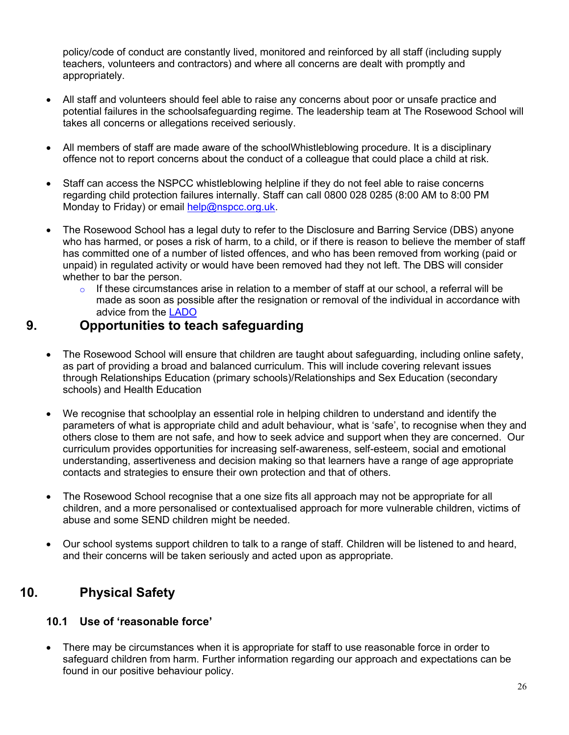policy/code of conduct are constantly lived, monitored and reinforced by all staff (including supply teachers, volunteers and contractors) and where all concerns are dealt with promptly and appropriately.

- All staff and volunteers should feel able to raise any concerns about poor or unsafe practice and potential failures in the schoolsafeguarding regime. The leadership team at The Rosewood School will takes all concerns or allegations received seriously.
- All members of staff are made aware of the schoolWhistleblowing procedure. It is a disciplinary offence not to report concerns about the conduct of a colleague that could place a child at risk.
- Staff can access the NSPCC whistleblowing helpline if they do not feel able to raise concerns regarding child protection failures internally. Staff can call 0800 028 0285 (8:00 AM to 8:00 PM Monday to Friday) or email [help@nspcc.org.uk.](mailto:help@nspcc.org.uk)
- The Rosewood School has a legal duty to refer to the Disclosure and Barring Service (DBS) anyone who has harmed, or poses a risk of harm, to a child, or if there is reason to believe the member of staff has committed one of a number of listed offences, and who has been removed from working (paid or unpaid) in regulated activity or would have been removed had they not left. The DBS will consider whether to bar the person.
	- $\circ$  If these circumstances arise in relation to a member of staff at our school, a referral will be made as soon as possible after the resignation or removal of the individual in accordance with advice from the [LADO](https://www.kscmp.org.uk/procedures/local-authority-designated-officer-lado)

## **9. Opportunities to teach safeguarding**

- The Rosewood School will ensure that children are taught about safeguarding, including online safety, as part of providing a broad and balanced curriculum. This will include covering relevant issues through Relationships Education (primary schools)/Relationships and Sex Education (secondary schools) and Health Education
- We recognise that schoolplay an essential role in helping children to understand and identify the parameters of what is appropriate child and adult behaviour, what is 'safe', to recognise when they and others close to them are not safe, and how to seek advice and support when they are concerned. Our curriculum provides opportunities for increasing self-awareness, self-esteem, social and emotional understanding, assertiveness and decision making so that learners have a range of age appropriate contacts and strategies to ensure their own protection and that of others.
- The Rosewood School recognise that a one size fits all approach may not be appropriate for all children, and a more personalised or contextualised approach for more vulnerable children, victims of abuse and some SEND children might be needed.
- Our school systems support children to talk to a range of staff. Children will be listened to and heard, and their concerns will be taken seriously and acted upon as appropriate.

## **10. Physical Safety**

## **10.1 Use of 'reasonable force'**

• There may be circumstances when it is appropriate for staff to use reasonable force in order to safeguard children from harm. Further information regarding our approach and expectations can be found in our positive behaviour policy.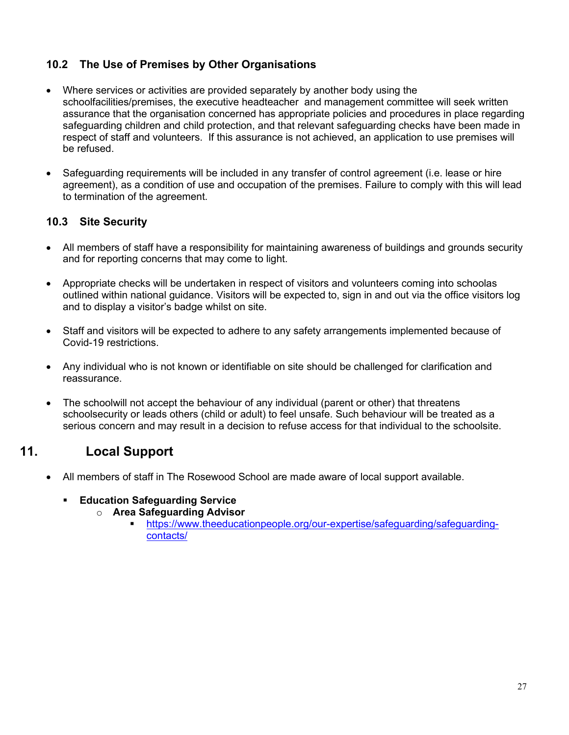## **10.2 The Use of Premises by Other Organisations**

- Where services or activities are provided separately by another body using the schoolfacilities/premises, the executive headteacher and management committee will seek written assurance that the organisation concerned has appropriate policies and procedures in place regarding safeguarding children and child protection, and that relevant safeguarding checks have been made in respect of staff and volunteers. If this assurance is not achieved, an application to use premises will be refused.
- Safeguarding requirements will be included in any transfer of control agreement (i.e. lease or hire agreement), as a condition of use and occupation of the premises. Failure to comply with this will lead to termination of the agreement.

## **10.3 Site Security**

- All members of staff have a responsibility for maintaining awareness of buildings and grounds security and for reporting concerns that may come to light.
- Appropriate checks will be undertaken in respect of visitors and volunteers coming into schoolas outlined within national guidance. Visitors will be expected to, sign in and out via the office visitors log and to display a visitor's badge whilst on site.
- Staff and visitors will be expected to adhere to any safety arrangements implemented because of Covid-19 restrictions.
- Any individual who is not known or identifiable on site should be challenged for clarification and reassurance.
- The schoolwill not accept the behaviour of any individual (parent or other) that threatens schoolsecurity or leads others (child or adult) to feel unsafe. Such behaviour will be treated as a serious concern and may result in a decision to refuse access for that individual to the schoolsite.

## **11. Local Support**

- All members of staff in The Rosewood School are made aware of local support available.
	- **Education Safeguarding Service** 
		- o **Area Safeguarding Advisor**
			- [https://www.theeducationpeople.org/our-expertise/safeguarding/safeguarding](https://www.theeducationpeople.org/our-expertise/safeguarding/safeguarding-contacts/)[contacts/](https://www.theeducationpeople.org/our-expertise/safeguarding/safeguarding-contacts/)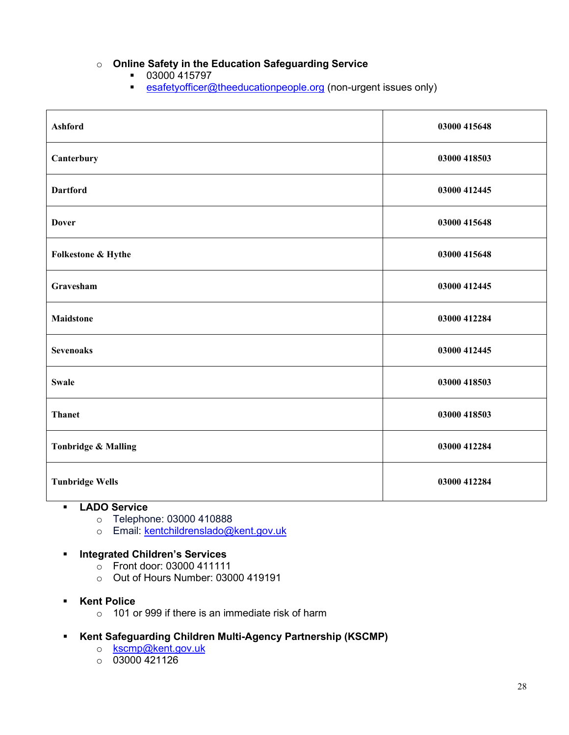## o **Online Safety in the Education Safeguarding Service**

- 03000 415797
- **[esafetyofficer@theeducationpeople.org](mailto:esafetyofficer@theeducationpeople.org)** (non-urgent issues only)

| <b>Ashford</b>                 | 03000 415648 |
|--------------------------------|--------------|
| Canterbury                     | 03000 418503 |
| <b>Dartford</b>                | 03000 412445 |
| <b>Dover</b>                   | 03000 415648 |
| Folkestone & Hythe             | 03000 415648 |
| Gravesham                      | 03000 412445 |
| <b>Maidstone</b>               | 03000 412284 |
| <b>Sevenoaks</b>               | 03000 412445 |
| <b>Swale</b>                   | 03000 418503 |
| <b>Thanet</b>                  | 03000 418503 |
| <b>Tonbridge &amp; Malling</b> | 03000 412284 |
| <b>Tunbridge Wells</b>         | 03000 412284 |

#### **LADO Service**

- o Telephone: 03000 410888<br>
o Email: kentchildrenslado@
- Email: [kentchildrenslado@kent.gov.uk](mailto:kentchildrenslado@kent.gov.uk)

#### **Integrated Children's Services**

- $\circ$  Front door: 03000 411111
- o Out of Hours Number: 03000 419191
- **Kent Police** 
	- o 101 or 999 if there is an immediate risk of harm
- **Kent Safeguarding Children Multi-Agency Partnership (KSCMP)**
	- o [kscmp@kent.gov.uk](mailto:kscmp@kent.gov.uk)
	- $\circ$  03000 421126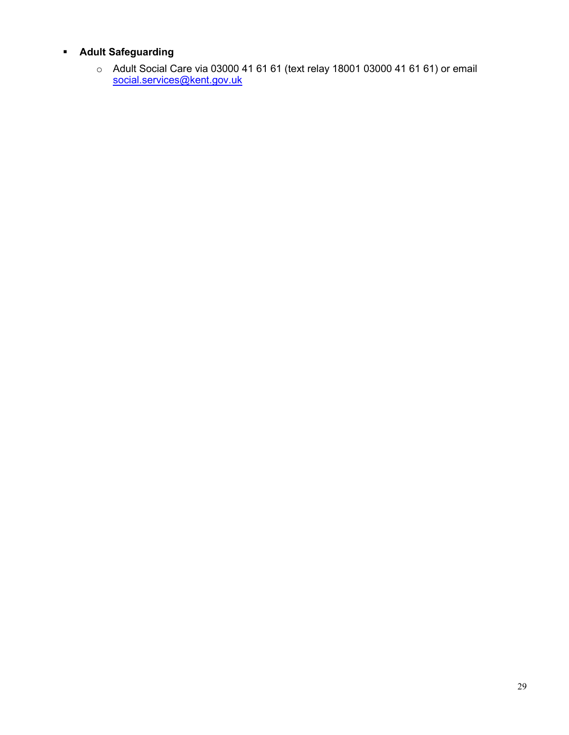## **Adult Safeguarding**

 $\circ$  Adult Social Care via 03000 41 61 61 (text relay 18001 03000 41 61 61) or email [social.services@kent.gov.uk](mailto:social.services@kent.gov.uk)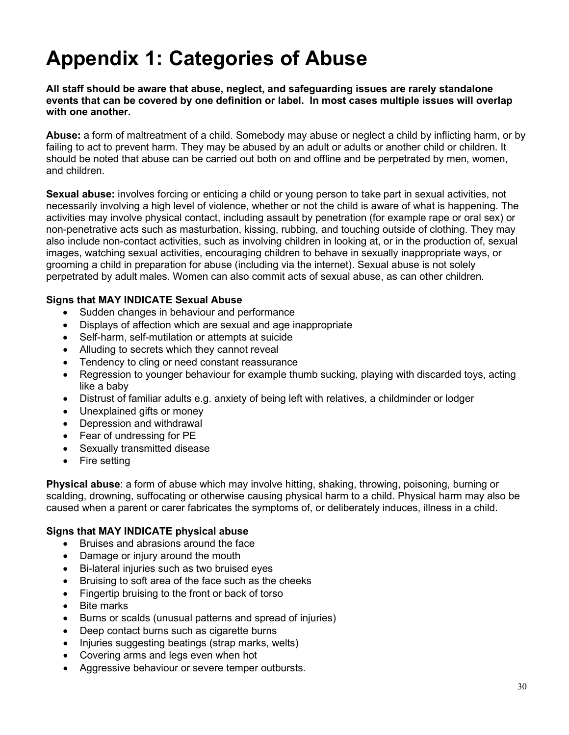## **Appendix 1: Categories of Abuse**

**All staff should be aware that abuse, neglect, and safeguarding issues are rarely standalone events that can be covered by one definition or label. In most cases multiple issues will overlap with one another.**

**Abuse:** a form of maltreatment of a child. Somebody may abuse or neglect a child by inflicting harm, or by failing to act to prevent harm. They may be abused by an adult or adults or another child or children. It should be noted that abuse can be carried out both on and offline and be perpetrated by men, women, and children.

**Sexual abuse:** involves forcing or enticing a child or young person to take part in sexual activities, not necessarily involving a high level of violence, whether or not the child is aware of what is happening. The activities may involve physical contact, including assault by penetration (for example rape or oral sex) or non-penetrative acts such as masturbation, kissing, rubbing, and touching outside of clothing. They may also include non-contact activities, such as involving children in looking at, or in the production of, sexual images, watching sexual activities, encouraging children to behave in sexually inappropriate ways, or grooming a child in preparation for abuse (including via the internet). Sexual abuse is not solely perpetrated by adult males. Women can also commit acts of sexual abuse, as can other children.

#### **Signs that MAY INDICATE Sexual Abuse**

- Sudden changes in behaviour and performance
- Displays of affection which are sexual and age inappropriate
- Self-harm, self-mutilation or attempts at suicide
- Alluding to secrets which they cannot reveal
- Tendency to cling or need constant reassurance
- Regression to younger behaviour for example thumb sucking, playing with discarded toys, acting like a baby
- Distrust of familiar adults e.g. anxiety of being left with relatives, a childminder or lodger
- Unexplained gifts or money
- Depression and withdrawal
- Fear of undressing for PE
- Sexually transmitted disease
- Fire setting

**Physical abuse**: a form of abuse which may involve hitting, shaking, throwing, poisoning, burning or scalding, drowning, suffocating or otherwise causing physical harm to a child. Physical harm may also be caused when a parent or carer fabricates the symptoms of, or deliberately induces, illness in a child.

#### **Signs that MAY INDICATE physical abuse**

- Bruises and abrasions around the face
- Damage or injury around the mouth
- Bi-lateral injuries such as two bruised eyes
- Bruising to soft area of the face such as the cheeks
- Fingertip bruising to the front or back of torso
- Bite marks
- Burns or scalds (unusual patterns and spread of injuries)
- Deep contact burns such as cigarette burns
- Injuries suggesting beatings (strap marks, welts)
- Covering arms and legs even when hot
- Aggressive behaviour or severe temper outbursts.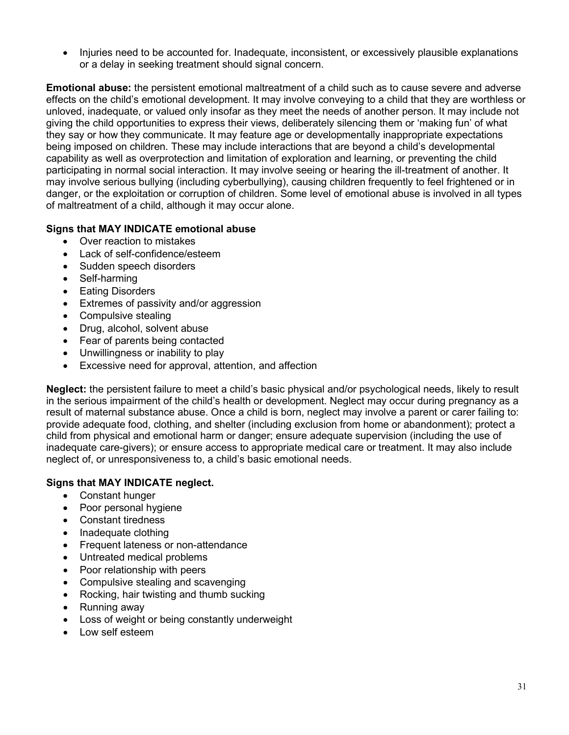• Injuries need to be accounted for. Inadequate, inconsistent, or excessively plausible explanations or a delay in seeking treatment should signal concern.

**Emotional abuse:** the persistent emotional maltreatment of a child such as to cause severe and adverse effects on the child's emotional development. It may involve conveying to a child that they are worthless or unloved, inadequate, or valued only insofar as they meet the needs of another person. It may include not giving the child opportunities to express their views, deliberately silencing them or 'making fun' of what they say or how they communicate. It may feature age or developmentally inappropriate expectations being imposed on children. These may include interactions that are beyond a child's developmental capability as well as overprotection and limitation of exploration and learning, or preventing the child participating in normal social interaction. It may involve seeing or hearing the ill-treatment of another. It may involve serious bullying (including cyberbullying), causing children frequently to feel frightened or in danger, or the exploitation or corruption of children. Some level of emotional abuse is involved in all types of maltreatment of a child, although it may occur alone.

#### **Signs that MAY INDICATE emotional abuse**

- Over reaction to mistakes
- Lack of self-confidence/esteem
- Sudden speech disorders
- Self-harming
- Eating Disorders
- Extremes of passivity and/or aggression
- Compulsive stealing
- Drug, alcohol, solvent abuse
- Fear of parents being contacted
- Unwillingness or inability to play
- Excessive need for approval, attention, and affection

**Neglect:** the persistent failure to meet a child's basic physical and/or psychological needs, likely to result in the serious impairment of the child's health or development. Neglect may occur during pregnancy as a result of maternal substance abuse. Once a child is born, neglect may involve a parent or carer failing to: provide adequate food, clothing, and shelter (including exclusion from home or abandonment); protect a child from physical and emotional harm or danger; ensure adequate supervision (including the use of inadequate care-givers); or ensure access to appropriate medical care or treatment. It may also include neglect of, or unresponsiveness to, a child's basic emotional needs.

#### **Signs that MAY INDICATE neglect.**

- Constant hunger
- Poor personal hygiene
- Constant tiredness
- Inadequate clothing
- Frequent lateness or non-attendance
- Untreated medical problems
- Poor relationship with peers
- Compulsive stealing and scavenging
- Rocking, hair twisting and thumb sucking
- Running away
- Loss of weight or being constantly underweight
- Low self esteem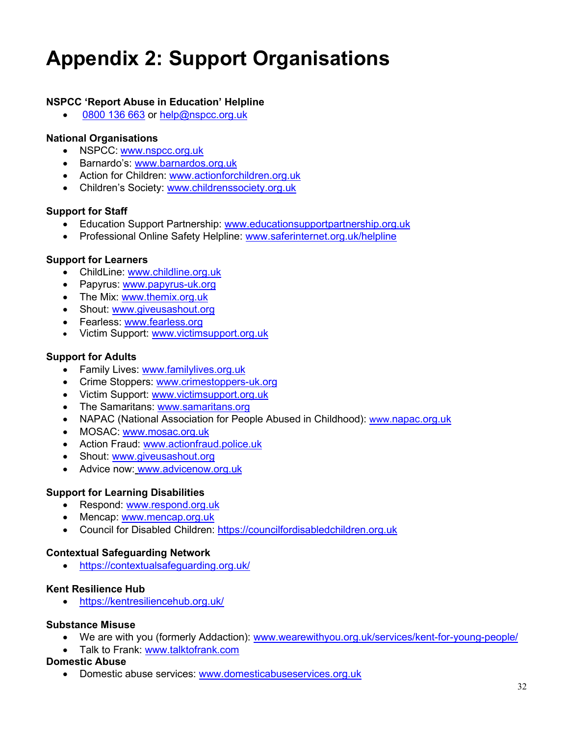## **Appendix 2: Support Organisations**

#### **NSPCC 'Report Abuse in Education' Helpline**

[0800 136 663](tel:0800%20136%20663) or [help@nspcc.org.uk](mailto:help@nspcc.org.uk)

#### **National Organisations**

- NSPCC: [www.nspcc.org.uk](http://www.nspcc.org.uk/)
- Barnardo's: [www.barnardos.org.uk](http://www.barnardos.org.uk/)
- Action for Children: [www.actionforchildren.org.uk](http://www.actionforchildren.org.uk/)
- Children's Society: [www.childrenssociety.org.uk](http://www.childrenssociety.org.uk/)

#### **Support for Staff**

- Education Support Partnership: [www.educationsupportpartnership.org.uk](http://www.educationsupportpartnership.org.uk/)
- Professional Online Safety Helpline: [www.saferinternet.org.uk/helpline](http://www.saferinternet.org.uk/helpline)

#### **Support for Learners**

- ChildLine: [www.childline.org.uk](http://www.childline.org.uk/)
- Papyrus: [www.papyrus-uk.org](http://www.papyrus-uk.org/)
- The Mix: [www.themix.org.uk](http://www.themix.org.uk/)
- Shout: [www.giveusashout.org](http://www.giveusashout.org/)
- Fearless: [www.fearless.org](http://www.fearless.org/)
- Victim Support: [www.victimsupport.org.uk](http://www.victimsupport.org.uk/)

#### **Support for Adults**

- Family Lives: [www.familylives.org.uk](http://www.familylives.org.uk/)
- Crime Stoppers: [www.crimestoppers-uk.org](http://www.crimestoppers-uk.org/)
- Victim Support: [www.victimsupport.org.uk](http://www.victimsupport.org.uk/)
- The Samaritans: [www.samaritans.org](http://www.samaritans.org/)
- NAPAC (National Association for People Abused in Childhood): www.napac.org.uk
- MOSAC: [www.mosac.org.uk](http://www.mosac.org.uk/)
- Action Fraud: [www.actionfraud.police.uk](http://www.actionfraud.police.uk/)
- Shout: [www.giveusashout.org](http://www.giveusashout.org/)
- Advice now: www.advicenow.org.uk

#### **Support for Learning Disabilities**

- Respond: [www.respond.org.uk](http://www.respond.org.uk/)
- Mencap: [www.mencap.org.uk](http://www.mencap.org.uk/)
- Council for Disabled Children: [https://councilfordisabledchildren.org.uk](https://councilfordisabledchildren.org.uk/)

#### **Contextual Safeguarding Network**

• <https://contextualsafeguarding.org.uk/>

#### **Kent Resilience Hub**

• <https://kentresiliencehub.org.uk/>

#### **Substance Misuse**

- We are with you (formerly Addaction): [www.wearewithyou.org.uk/services/kent-for-young-people/](http://www.wearewithyou.org.uk/services/kent-for-young-people/)
- Talk to Frank: [www.talktofrank.com](http://www.talktofrank.com/)

#### **Domestic Abuse**

• Domestic abuse services: [www.domesticabuseservices.org.uk](http://www.domesticabuseservices.org.uk/)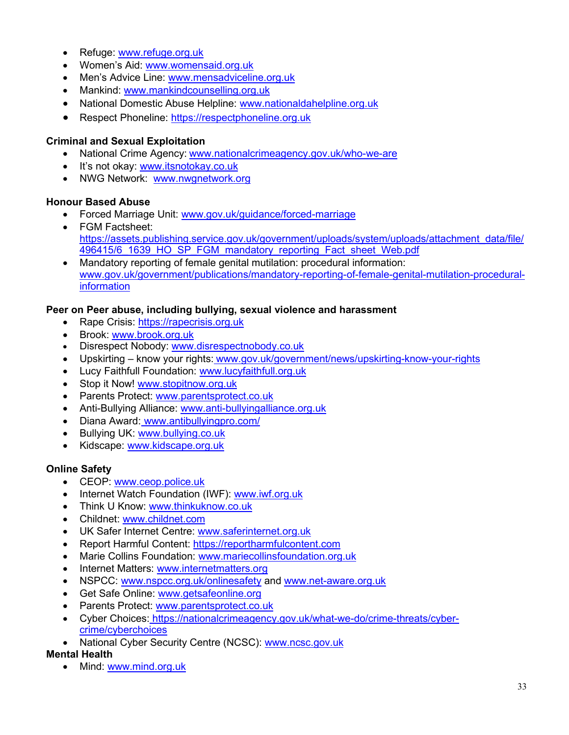- Refuge: [www.refuge.org.uk](http://www.refuge.org.uk/)
- Women's Aid: [www.womensaid.org.uk](http://www.womensaid.org.uk/)
- Men's Advice Line: [www.mensadviceline.org.uk](http://www.mensadviceline.org.uk/)
- Mankind: [www.mankindcounselling.org.uk](http://www.mankindcounselling.org.uk/)
- National Domestic Abuse Helpline: [www.nationaldahelpline.org.uk](http://www.nationaldahelpline.org.uk/)
- Respect Phoneline: [https://respectphoneline.org.uk](https://respectphoneline.org.uk/)

#### **Criminal and Sexual Exploitation**

- National Crime Agency: [www.nationalcrimeagency.gov.uk/who-we-are](http://www.nationalcrimeagency.gov.uk/who-we-are)
- It's not okay: [www.itsnotokay.co.uk](http://www.itsnotokay.co.uk/)
- NWG Network: [www.nwgnetwork.org](http://www.nwgnetwork.org/)

#### **Honour Based Abuse**

- Forced Marriage Unit: [www.gov.uk/guidance/forced-marriage](http://www.gov.uk/guidance/forced-marriage)
- FGM Factsheet: [https://assets.publishing.service.gov.uk/government/uploads/system/uploads/attachment\\_data/file/](https://assets.publishing.service.gov.uk/government/uploads/system/uploads/attachment_data/file/496415/6_1639_HO_SP_FGM_mandatory_reporting_Fact_sheet_Web.pdf) [496415/6\\_1639\\_HO\\_SP\\_FGM\\_mandatory\\_reporting\\_Fact\\_sheet\\_Web.pdf](https://assets.publishing.service.gov.uk/government/uploads/system/uploads/attachment_data/file/496415/6_1639_HO_SP_FGM_mandatory_reporting_Fact_sheet_Web.pdf)
- Mandatory reporting of female genital mutilation: procedural information: [www.gov.uk/government/publications/mandatory-reporting-of-female-genital-mutilation-procedural](http://www.gov.uk/government/publications/mandatory-reporting-of-female-genital-mutilation-procedural-information)[information](http://www.gov.uk/government/publications/mandatory-reporting-of-female-genital-mutilation-procedural-information)

#### **Peer on Peer abuse, including bullying, sexual violence and harassment**

- Rape Crisis: [https://rapecrisis.org.uk](https://rapecrisis.org.uk/)
- Brook: [www.brook.org.uk](http://www.brook.org.uk/)
- Disrespect Nobody: [www.disrespectnobody.co.uk](http://www.disrespectnobody.co.uk/)
- Upskirting know your rights: [www.gov.uk/government/news/upskirting-know-your-rights](http://www.gov.uk/government/news/upskirting-know-your-rights)
- Lucy Faithfull Foundation: [www.lucyfaithfull.org.uk](http://www.lucyfaithfull.org.uk/)
- Stop it Now! [www.stopitnow.org.uk](http://www.stopitnow.org.uk/)
- Parents Protect: [www.parentsprotect.co.uk](http://www.parentsprotect.co.uk/)
- Anti-Bullying Alliance: [www.anti-bullyingalliance.org.uk](http://www.anti-bullyingalliance.org.uk/)
- Diana Award: [www.antibullyingpro.com/](http://www.antibullyingpro.com/)
- Bullying UK: [www.bullying.co.uk](http://www.bullying.co.uk/)
- Kidscape: [www.kidscape.org.uk](http://www.kidscape.org.uk/)

#### **Online Safety**

- CEOP: [www.ceop.police.uk](http://www.ceop.police.uk/)
- Internet Watch Foundation (IWF): [www.iwf.org.uk](http://www.iwf.org.uk/)
- Think U Know: [www.thinkuknow.co.uk](http://www.thinkuknow.co.uk/)
- Childnet: [www.childnet.com](http://www.childnet.com/)
- UK Safer Internet Centre: [www.saferinternet.org.uk](http://www.saferinternet.org.uk/)
- Report Harmful Content: [https://reportharmfulcontent.com](https://reportharmfulcontent.com/)
- Marie Collins Foundation: [www.mariecollinsfoundation.org.uk](http://www.mariecollinsfoundation.org.uk/)
- Internet Matters: [www.internetmatters.org](http://www.internetmatters.org/)
- NSPCC: [www.nspcc.org.uk/onlinesafety](http://www.nspcc.org.uk/onlinesafety) and [www.net-aware.org.uk](http://www.net-aware.org.uk/)
- Get Safe Online: [www.getsafeonline.org](https://www.getsafeonline.org/)
- Parents Protect: [www.parentsprotect.co.uk](http://www.parentsprotect.co.uk/)
- Cyber Choices: [https://nationalcrimeagency.gov.uk/what-we-do/crime-threats/cyber](https://nationalcrimeagency.gov.uk/what-we-do/crime-threats/cyber-crime/cyberchoices)[crime/cyberchoices](https://nationalcrimeagency.gov.uk/what-we-do/crime-threats/cyber-crime/cyberchoices)
- National Cyber Security Centre (NCSC): [www.ncsc.gov.uk](http://www.ncsc.gov.uk/)

#### **Mental Health**

• Mind: [www.mind.org.uk](http://www.mind.org.uk/)